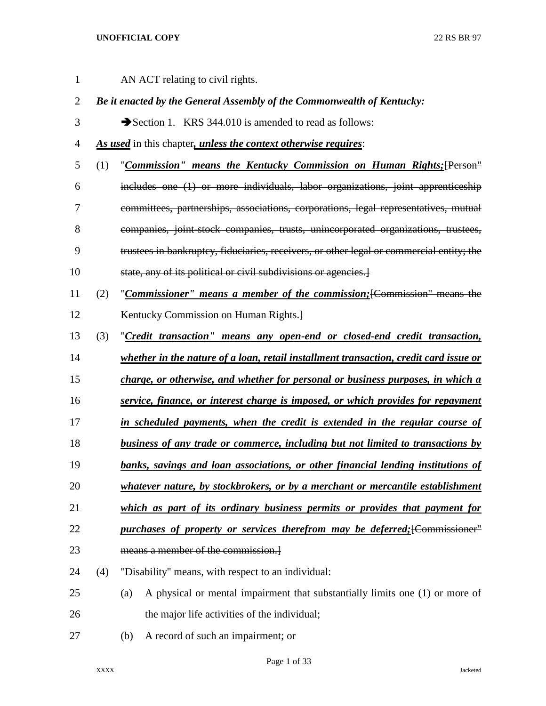| 1              |     | AN ACT relating to civil rights.                                                         |
|----------------|-----|------------------------------------------------------------------------------------------|
| $\overline{2}$ |     | Be it enacted by the General Assembly of the Commonwealth of Kentucky:                   |
| 3              |     | Section 1. KRS 344.010 is amended to read as follows:                                    |
| $\overline{4}$ |     | As used in this chapter, unless the context otherwise requires:                          |
| 5              | (1) | "Commission" means the Kentucky Commission on Human Rights; [Person"                     |
| 6              |     | includes one (1) or more individuals, labor organizations, joint apprenticeship          |
| 7              |     | committees, partnerships, associations, corporations, legal representatives, mutual      |
| 8              |     | companies, joint-stock companies, trusts, unincorporated organizations, trustees,        |
| 9              |     | trustees in bankruptcy, fiduciaries, receivers, or other legal or commercial entity; the |
| 10             |     | state, any of its political or civil subdivisions or agencies.]                          |
| 11             | (2) | "Commissioner" means a member of the commission; [Commission" means the                  |
| 12             |     | Kentucky Commission on Human Rights.                                                     |
| 13             | (3) | "Credit transaction" means any open-end or closed-end credit transaction,                |
| 14             |     | whether in the nature of a loan, retail installment transaction, credit card issue or    |
| 15             |     | charge, or otherwise, and whether for personal or business purposes, in which a          |
| 16             |     | service, finance, or interest charge is imposed, or which provides for repayment         |
| 17             |     | in scheduled payments, when the credit is extended in the regular course of              |
| 18             |     | <b>business of any trade or commerce, including but not limited to transactions by</b>   |
| 19             |     | banks, savings and loan associations, or other financial lending institutions of         |
| 20             |     | whatever nature, by stockbrokers, or by a merchant or mercantile establishment           |
| 21             |     | which as part of its ordinary business permits or provides that payment for              |
| 22             |     | purchases of property or services therefrom may be deferred; [Commissioner"              |
| 23             |     | means a member of the commission.                                                        |
| 24             | (4) | "Disability" means, with respect to an individual:                                       |
| 25             |     | A physical or mental impairment that substantially limits one (1) or more of<br>(a)      |
| 26             |     | the major life activities of the individual;                                             |
| 27             |     | A record of such an impairment; or<br>(b)                                                |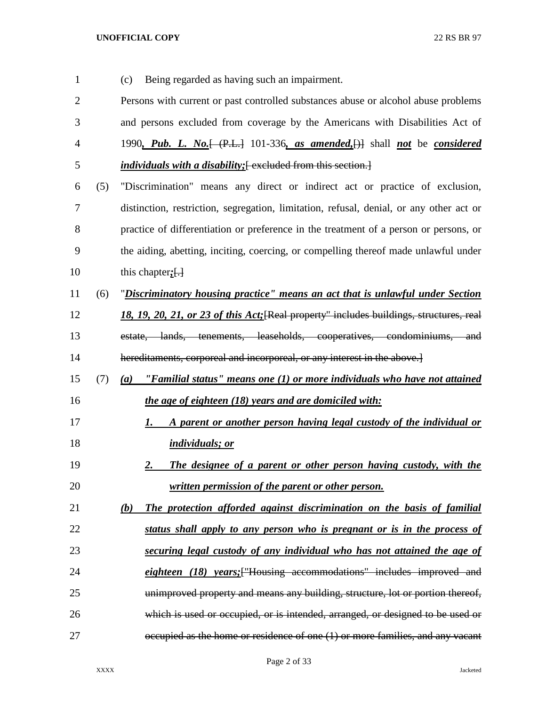| $\mathbf{1}$   |     | Being regarded as having such an impairment.<br>(c)                                                                        |
|----------------|-----|----------------------------------------------------------------------------------------------------------------------------|
| $\overline{2}$ |     | Persons with current or past controlled substances abuse or alcohol abuse problems                                         |
| 3              |     | and persons excluded from coverage by the Americans with Disabilities Act of                                               |
| 4              |     | 1990, Pub. L. No. $\left\{\left(\text{P.L.}\right)$ 101-336, as amended, $\left\{\right\}\right\}$ shall not be considered |
| 5              |     | <i>individuals with a disability</i> ; [excluded from this section.]                                                       |
| 6              | (5) | "Discrimination" means any direct or indirect act or practice of exclusion,                                                |
| $\overline{7}$ |     | distinction, restriction, segregation, limitation, refusal, denial, or any other act or                                    |
| 8              |     | practice of differentiation or preference in the treatment of a person or persons, or                                      |
| 9              |     | the aiding, abetting, inciting, coercing, or compelling thereof made unlawful under                                        |
| 10             |     | this chapter; $\left\{ \cdot \right\}$                                                                                     |
| 11             | (6) | "Discriminatory housing practice" means an act that is unlawful under Section                                              |
| 12             |     | 18, 19, 20, 21, or 23 of this Act; [Real property" includes buildings, structures, real                                    |
| 13             |     | estate, lands, tenements, leaseholds, cooperatives, condominiums, and                                                      |
| 14             |     | hereditaments, corporeal and incorporeal, or any interest in the above.]                                                   |
| 15             | (7) | $(a)$ "Familial status" means one (1) or more individuals who have not attained                                            |
| 16             |     | the age of eighteen (18) years and are domiciled with:                                                                     |
| 17             |     | A parent or another person having legal custody of the individual or<br>1.                                                 |
| 18             |     | <i>individuals; or</i>                                                                                                     |
| 19             |     | The designee of a parent or other person having custody, with the<br><u>2.</u>                                             |
| 20             |     | written permission of the parent or other person.                                                                          |
| 21             |     | The protection afforded against discrimination on the basis of familial<br>(b)                                             |
| 22             |     | status shall apply to any person who is pregnant or is in the process of                                                   |
| 23             |     | securing legal custody of any individual who has not attained the age of                                                   |
| 24             |     | eighteen (18) years; ["Housing accommodations" includes improved and                                                       |
| 25             |     | unimproved property and means any building, structure, lot or portion thereof,                                             |
| 26             |     | which is used or occupied, or is intended, arranged, or designed to be used or                                             |
| 27             |     | occupied as the home or residence of one (1) or more families, and any vacant                                              |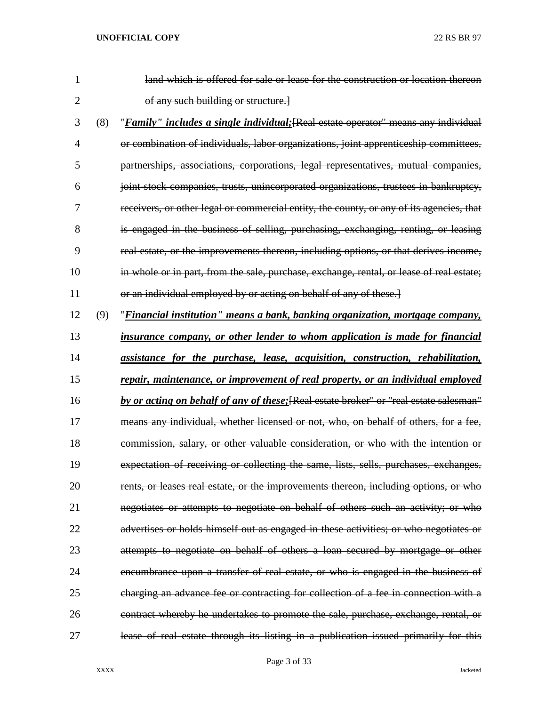| $\mathbf{1}$ |     | land which is offered for sale or lease for the construction or location thereon         |
|--------------|-----|------------------------------------------------------------------------------------------|
| 2            |     | of any such building or structure.]                                                      |
| 3            | (8) | "Family" includes a single individual; [Real estate operator" means any individual       |
| 4            |     | or combination of individuals, labor organizations, joint apprenticeship committees,     |
| 5            |     | partnerships, associations, corporations, legal representatives, mutual companies,       |
| 6            |     | joint stock companies, trusts, unincorporated organizations, trustees in bankruptcy,     |
| 7            |     | receivers, or other legal or commercial entity, the county, or any of its agencies, that |
| 8            |     | is engaged in the business of selling, purchasing, exchanging, renting, or leasing       |
| 9            |     | real estate, or the improvements thereon, including options, or that derives income,     |
| 10           |     | in whole or in part, from the sale, purchase, exchange, rental, or lease of real estate; |
| 11           |     | or an individual employed by or acting on behalf of any of these.]                       |
| 12           | (9) | "Financial institution" means a bank, banking organization, mortgage company,            |
| 13           |     | insurance company, or other lender to whom application is made for financial             |
| 14           |     | assistance for the purchase, lease, acquisition, construction, rehabilitation,           |
| 15           |     | repair, maintenance, or improvement of real property, or an individual employed          |
| 16           |     | by or acting on behalf of any of these; [Real estate broker" or "real estate salesman"   |
| 17           |     | means any individual, whether licensed or not, who, on behalf of others, for a fee,      |
| 18           |     | commission, salary, or other valuable consideration, or who with the intention or        |
| 19           |     | expectation of receiving or collecting the same, lists, sells, purchases, exchanges,     |
| 20           |     | rents, or leases real estate, or the improvements thereon, including options, or who     |
| 21           |     | negotiates or attempts to negotiate on behalf of others such an activity; or who         |
| 22           |     | advertises or holds himself out as engaged in these activities; or who negotiates or     |
| 23           |     | attempts to negotiate on behalf of others a loan secured by mortgage or other            |
| 24           |     | encumbrance upon a transfer of real estate, or who is engaged in the business of         |
| 25           |     | charging an advance fee or contracting for collection of a fee in connection with a      |
| 26           |     | contract whereby he undertakes to promote the sale, purchase, exchange, rental, or       |
| 27           |     | lease of real estate through its listing in a publication issued primarily for this      |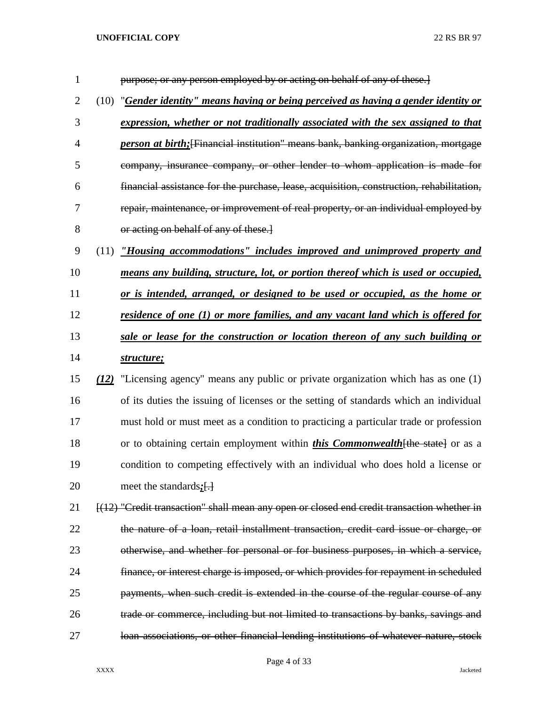| $\mathbf{1}$   |      | purpose; or any person employed by or acting on behalf of any of these.]                    |
|----------------|------|---------------------------------------------------------------------------------------------|
| $\overline{2}$ | (10) | "Gender identity" means having or being perceived as having a gender identity or            |
| 3              |      | expression, whether or not traditionally associated with the sex assigned to that           |
| 4              |      | <i>person at birth</i> ; [Financial institution" means bank, banking organization, mortgage |
| 5              |      | company, insurance company, or other lender to whom application is made for                 |
| 6              |      | financial assistance for the purchase, lease, acquisition, construction, rehabilitation,    |
| 7              |      | repair, maintenance, or improvement of real property, or an individual employed by          |
| 8              |      | or acting on behalf of any of these.                                                        |
| 9              | (11) | "Housing accommodations" includes improved and unimproved property and                      |
| 10             |      | means any building, structure, lot, or portion thereof which is used or occupied,           |
| 11             |      | or is intended, arranged, or designed to be used or occupied, as the home or                |
| 12             |      | <u>residence of one (1) or more families, and any vacant land which is offered for</u>      |
| 13             |      | sale or lease for the construction or location thereon of any such building or              |
| 14             |      | structure;                                                                                  |
| 15             | (12) | "Licensing agency" means any public or private organization which has as one (1)            |
| 16             |      | of its duties the issuing of licenses or the setting of standards which an individual       |
| 17             |      | must hold or must meet as a condition to practicing a particular trade or profession        |
| 18             |      | or to obtaining certain employment within <i>this Commonwealth</i> [the state] or as a      |
| 19             |      | condition to competing effectively with an individual who does hold a license or            |
| 20             |      | meet the standards $\left\{\frac{1}{2}\right\}$                                             |
| 21             |      | [(12) "Credit transaction" shall mean any open or closed end credit transaction whether in  |
| 22             |      | the nature of a loan, retail installment transaction, credit card issue or charge, or       |
| 23             |      | otherwise, and whether for personal or for business purposes, in which a service,           |
| 24             |      | finance, or interest charge is imposed, or which provides for repayment in scheduled        |
| 25             |      | payments, when such credit is extended in the course of the regular course of any           |
| 26             |      | trade or commerce, including but not limited to transactions by banks, savings and          |
| 27             |      | loan associations, or other financial lending institutions of whatever nature, stock        |

## Page 4 of 33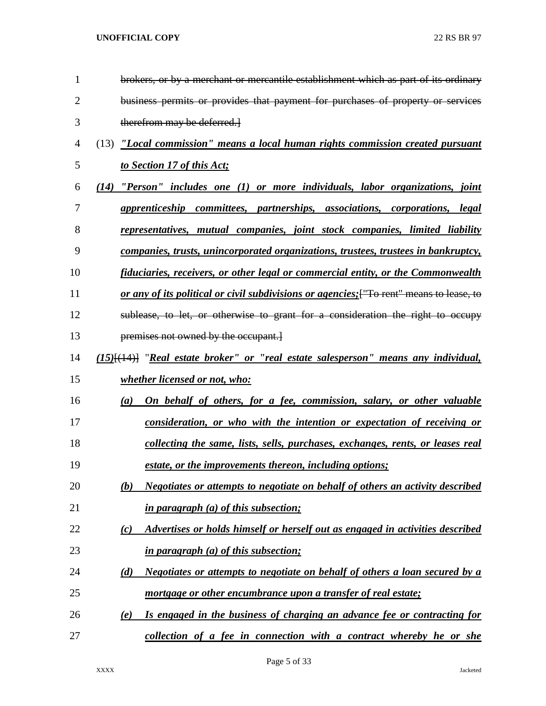| 1              | brokers, or by a merchant or mercantile establishment which as part of its ordinary       |
|----------------|-------------------------------------------------------------------------------------------|
| $\overline{2}$ | business permits or provides that payment for purchases of property or services           |
| 3              | therefrom may be deferred.                                                                |
| 4              | (13) "Local commission" means a local human rights commission created pursuant            |
| 5              | to Section 17 of this Act;                                                                |
| 6              | $(14)$ "Person" includes one $(1)$ or more individuals, labor organizations, joint        |
| 7              | apprenticeship committees, partnerships, associations, corporations, legal                |
| 8              | representatives, mutual companies, joint stock companies, limited liability               |
| 9              | <u>companies, trusts, unincorporated organizations, trustees, trustees in bankruptcy,</u> |
| 10             | <u>fiduciaries, receivers, or other legal or commercial entity, or the Commonwealth</u>   |
| 11             | or any of its political or civil subdivisions or agencies; ["To rent" means to lease, to  |
| 12             | sublease, to let, or otherwise to grant for a consideration the right to occupy           |
| 13             | premises not owned by the occupant.]                                                      |
| 14             | $(15)$ [ $(14)$ ] "Real estate broker" or "real estate salesperson" means any individual, |
| 15             | whether licensed or not, who:                                                             |
| 16             | On behalf of others, for a fee, commission, salary, or other valuable<br>(a)              |
| 17             | consideration, or who with the intention or expectation of receiving or                   |
| 18             | collecting the same, lists, sells, purchases, exchanges, rents, or leases real            |
| 19             | estate, or the improvements thereon, including options;                                   |
| 20             | Negotiates or attempts to negotiate on behalf of others an activity described<br>(b)      |
| 21             | <i>in paragraph (a) of this subsection;</i>                                               |
| 22             | Advertises or holds himself or herself out as engaged in activities described<br>(c)      |
| 23             | in paragraph (a) of this subsection;                                                      |
| 24             | Negotiates or attempts to negotiate on behalf of others a loan secured by a<br>(d)        |
| 25             | mortgage or other encumbrance upon a transfer of real estate;                             |
| 26             | Is engaged in the business of charging an advance fee or contracting for<br>(e)           |
| 27             | collection of a fee in connection with a contract whereby he or she                       |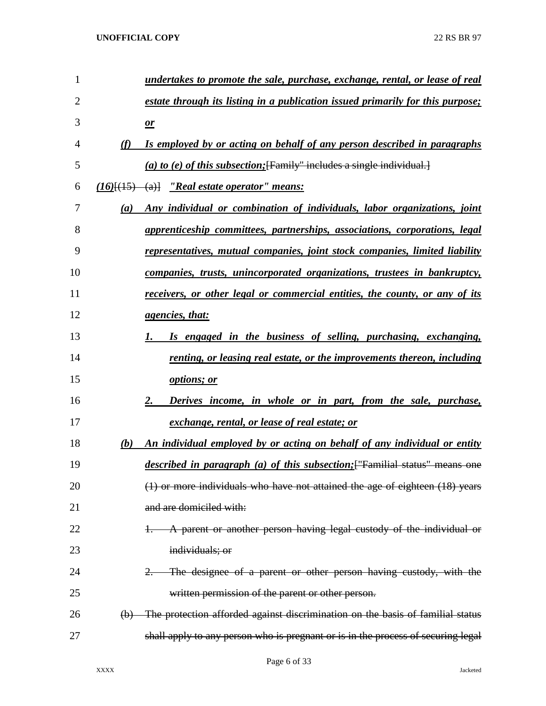| 1              |          | undertakes to promote the sale, purchase, exchange, rental, or lease of real        |
|----------------|----------|-------------------------------------------------------------------------------------|
| $\overline{2}$ |          | estate through its listing in a publication issued primarily for this purpose;      |
| 3              |          | $\mathbf{r}$                                                                        |
| 4              | (f)      | Is employed by or acting on behalf of any person described in paragraphs            |
| 5              |          | (a) to (e) of this subsection; [Family" includes a single individual.]              |
| 6              |          | $(16)$ [ $(15)$ $(a)$ ] $'$ Real estate operator'' means:                           |
| 7              | (a)      | Any individual or combination of individuals, labor organizations, joint            |
| 8              |          | apprenticeship committees, partnerships, associations, corporations, legal          |
| 9              |          | representatives, mutual companies, joint stock companies, limited liability         |
| 10             |          | companies, trusts, unincorporated organizations, trustees in bankruptcy,            |
| 11             |          | receivers, or other legal or commercial entities, the county, or any of its         |
| 12             |          | <i>agencies, that:</i>                                                              |
| 13             |          | Is engaged in the business of selling, purchasing, exchanging,                      |
| 14             |          | renting, or leasing real estate, or the improvements thereon, including             |
| 15             |          | options; or                                                                         |
| 16             |          | Derives income, in whole or in part, from the sale, purchase,<br>2.                 |
| 17             |          | exchange, rental, or lease of real estate; or                                       |
| 18             | (b)      | An individual employed by or acting on behalf of any individual or entity           |
| 19             |          | <i>described in paragraph (a) of this subsection</i> ; ["Familial status" means one |
| 20             |          | (1) or more individuals who have not attained the age of eighteen (18) years        |
| 21             |          | and are domiciled with:                                                             |
| 22             |          | A parent or another person having legal custody of the individual or                |
| 23             |          | individuals; or                                                                     |
| 24             |          | The designee of a parent or other person having custody, with the                   |
| 25             |          | written permission of the parent or other person.                                   |
| 26             | $\Theta$ | The protection afforded against discrimination on the basis of familial status      |
| 27             |          | shall apply to any person who is pregnant or is in the process of securing legal    |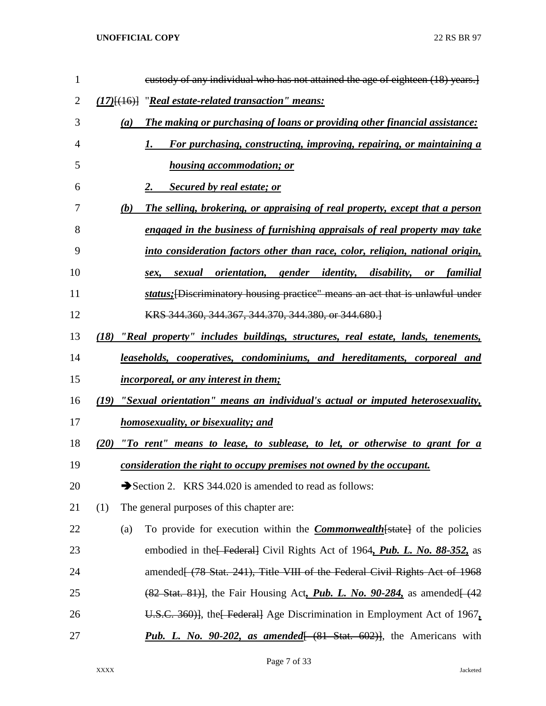| $\mathbf{1}$   | eustody of any individual who has not attained the age of eighteen (18) years.                              |
|----------------|-------------------------------------------------------------------------------------------------------------|
| $\overline{2}$ | $(17)$ [ $(16)$ ] "Real estate-related transaction" means:                                                  |
| 3              | The making or purchasing of loans or providing other financial assistance:<br>(a)                           |
| 4              | For purchasing, constructing, improving, repairing, or maintaining a<br>1.                                  |
| 5              | <b>housing accommodation; or</b>                                                                            |
| 6              | <b>Secured by real estate; or</b><br>2.                                                                     |
| 7              | (b)<br>The selling, brokering, or appraising of real property, except that a person                         |
| 8              | engaged in the business of furnishing appraisals of real property may take                                  |
| 9              | into consideration factors other than race, color, religion, national origin,                               |
| 10             | sexual orientation, gender identity, disability, or<br>familial<br>sex.                                     |
| 11             | status; [Discriminatory housing practice" means an act that is unlawful under                               |
| 12             | KRS 344.360, 344.367, 344.370, 344.380, or 344.680.                                                         |
| 13             | (18)<br>"Real property" includes buildings, structures, real estate, lands, tenements,                      |
| 14             | leaseholds, cooperatives, condominiums, and hereditaments, corporeal and                                    |
| 15             | <i>incorporeal, or any interest in them;</i>                                                                |
| 16             | "Sexual orientation" means an individual's actual or imputed heterosexuality,<br>(19)                       |
| 17             | <u>homosexuality, or bisexuality; and</u>                                                                   |
| 18             | "To rent" means to lease, to sublease, to let, or otherwise to grant for a<br>(20)                          |
| 19             | consideration the right to occupy premises not owned by the occupant.                                       |
| 20             | Section 2. KRS 344.020 is amended to read as follows:                                                       |
| 21             | (1)<br>The general purposes of this chapter are:                                                            |
| 22             | To provide for execution within the <b>Commonwealth</b> [state] of the policies<br>(a)                      |
| 23             | embodied in the Federal Civil Rights Act of 1964, Pub. L. No. 88-352, as                                    |
| 24             | amended[ (78 Stat. 241), Title VIII of the Federal Civil Rights Act of 1968                                 |
| 25             | $(82 \text{ Stat. } 81)$ , the Fair Housing Act, <i>Pub. L. No. 90-284</i> , as amended $(42 \text{ gal.})$ |
| 26             | U.S.C. 360)], the Federal Age Discrimination in Employment Act of $1967$ ,                                  |
| 27             | <b>Pub. L.</b> No. 90-202, as amended $(81 \text{ Stat. } 602)$ , the Americans with                        |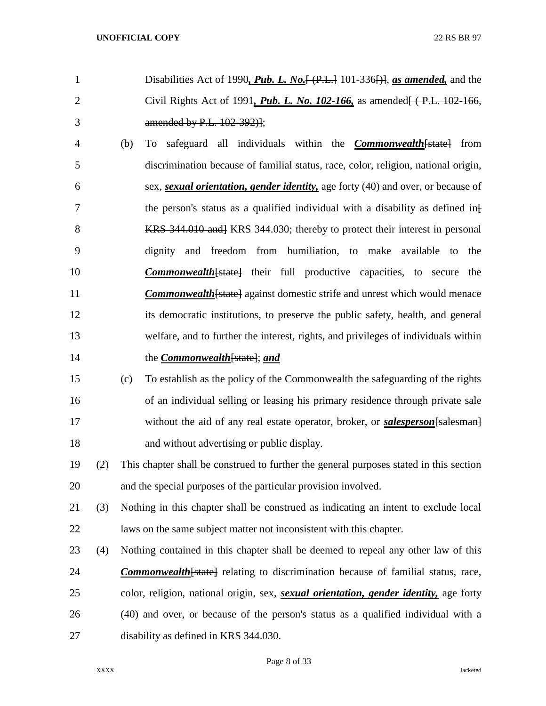- Disabilities Act of 1990*, Pub. L. No.*[ (P.L.] 101-336[)], *as amended,* and the Civil Rights Act of 1991*, Pub. L. No. 102-166,* as amended[ ( P.L. 102-166, amended by P.L. 102-392)];
- (b) To safeguard all individuals within the *Commonwealth*[state] from discrimination because of familial status, race, color, religion, national origin, sex, *sexual orientation, gender identity,* age forty (40) and over, or because of 7 the person's status as a qualified individual with a disability as defined inf 8 KRS 344.010 and KRS 344.030; thereby to protect their interest in personal dignity and freedom from humiliation, to make available to the *Commonwealth*[state] their full productive capacities, to secure the **Commonwealth** [state] against domestic strife and unrest which would menace its democratic institutions, to preserve the public safety, health, and general welfare, and to further the interest, rights, and privileges of individuals within the *Commonwealth*[state]; *and*
- (c) To establish as the policy of the Commonwealth the safeguarding of the rights of an individual selling or leasing his primary residence through private sale 17 without the aid of any real estate operator, broker, or *salesperson* [salesman] and without advertising or public display.
- (2) This chapter shall be construed to further the general purposes stated in this section and the special purposes of the particular provision involved.
- (3) Nothing in this chapter shall be construed as indicating an intent to exclude local laws on the same subject matter not inconsistent with this chapter.
- (4) Nothing contained in this chapter shall be deemed to repeal any other law of this *Commonwealth*[state] relating to discrimination because of familial status, race, color, religion, national origin, sex, *sexual orientation, gender identity,* age forty (40) and over, or because of the person's status as a qualified individual with a disability as defined in KRS 344.030.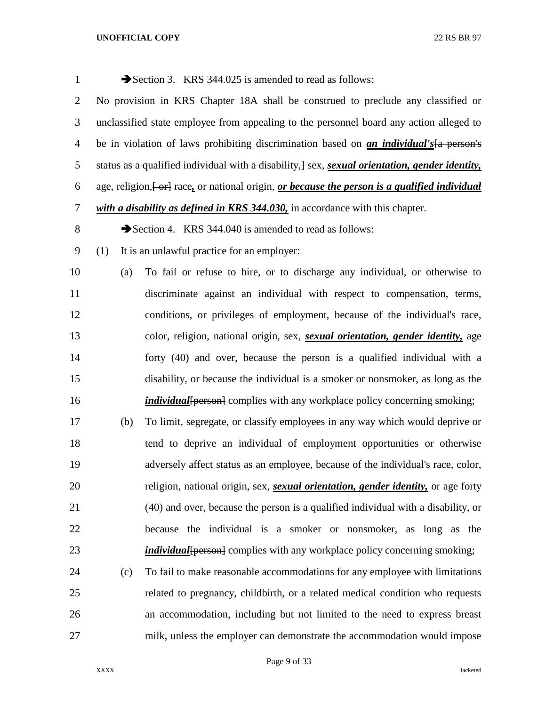| $\mathbf{1}$   |     | Section 3. KRS 344.025 is amended to read as follows:                                                             |
|----------------|-----|-------------------------------------------------------------------------------------------------------------------|
| $\overline{c}$ |     | No provision in KRS Chapter 18A shall be construed to preclude any classified or                                  |
| 3              |     | unclassified state employee from appealing to the personnel board any action alleged to                           |
| $\overline{4}$ |     | be in violation of laws prohibiting discrimination based on <i>an individual's</i> [a person's                    |
| 5              |     | status as a qualified individual with a disability, $]$ sex, <i>sexual orientation</i> , <i>gender identity</i> , |
| 6              |     | age, religion, [-or] race, or national origin, or because the person is a qualified individual                    |
| 7              |     | with a disability as defined in KRS 344.030, in accordance with this chapter.                                     |
| 8              |     | Section 4. KRS 344.040 is amended to read as follows:                                                             |
| 9              | (1) | It is an unlawful practice for an employer:                                                                       |
| 10             | (a) | To fail or refuse to hire, or to discharge any individual, or otherwise to                                        |
| 11             |     | discriminate against an individual with respect to compensation, terms,                                           |
| 12             |     | conditions, or privileges of employment, because of the individual's race,                                        |
| 13             |     | color, religion, national origin, sex, <i>sexual orientation</i> , <i>gender identity</i> , age                   |
| 14             |     | forty (40) and over, because the person is a qualified individual with a                                          |
| 15             |     | disability, or because the individual is a smoker or nonsmoker, as long as the                                    |
| 16             |     | <i>individual</i> [person] complies with any workplace policy concerning smoking;                                 |
| 17             | (b) | To limit, segregate, or classify employees in any way which would deprive or                                      |
| 18             |     | tend to deprive an individual of employment opportunities or otherwise                                            |
| 19             |     | adversely affect status as an employee, because of the individual's race, color,                                  |
| 20             |     | religion, national origin, sex, <i>sexual orientation</i> , <i>gender identity</i> , or age forty                 |
| 21             |     | (40) and over, because the person is a qualified individual with a disability, or                                 |
| 22             |     | because the individual is a smoker or nonsmoker, as long as the                                                   |
| 23             |     | <i>individual</i> [person] complies with any workplace policy concerning smoking;                                 |
| 24             | (c) | To fail to make reasonable accommodations for any employee with limitations                                       |
| 25             |     | related to pregnancy, childbirth, or a related medical condition who requests                                     |
| 26             |     | an accommodation, including but not limited to the need to express breast                                         |
| 27             |     | milk, unless the employer can demonstrate the accommodation would impose                                          |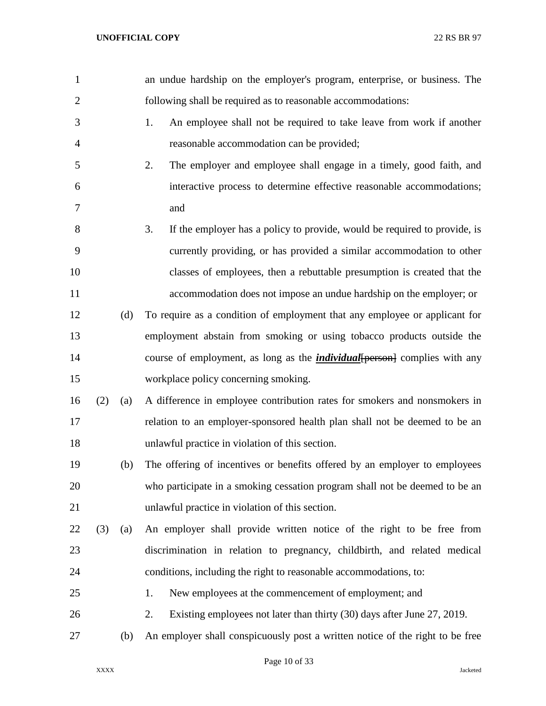| $\mathbf{1}$   |     |     | an undue hardship on the employer's program, enterprise, or business. The         |
|----------------|-----|-----|-----------------------------------------------------------------------------------|
| $\overline{2}$ |     |     | following shall be required as to reasonable accommodations:                      |
| 3              |     |     | 1.<br>An employee shall not be required to take leave from work if another        |
| $\overline{4}$ |     |     | reasonable accommodation can be provided;                                         |
| 5              |     |     | 2.<br>The employer and employee shall engage in a timely, good faith, and         |
| 6              |     |     | interactive process to determine effective reasonable accommodations;             |
| 7              |     |     | and                                                                               |
| 8              |     |     | 3.<br>If the employer has a policy to provide, would be required to provide, is   |
| 9              |     |     | currently providing, or has provided a similar accommodation to other             |
| 10             |     |     | classes of employees, then a rebuttable presumption is created that the           |
| 11             |     |     | accommodation does not impose an undue hardship on the employer; or               |
| 12             |     | (d) | To require as a condition of employment that any employee or applicant for        |
| 13             |     |     | employment abstain from smoking or using tobacco products outside the             |
| 14             |     |     | course of employment, as long as the <i>individual</i> [person] complies with any |
| 15             |     |     | workplace policy concerning smoking.                                              |
| 16             | (2) | (a) | A difference in employee contribution rates for smokers and nonsmokers in         |
| 17             |     |     | relation to an employer-sponsored health plan shall not be deemed to be an        |
| 18             |     |     | unlawful practice in violation of this section.                                   |
| 19             |     | (b) | The offering of incentives or benefits offered by an employer to employees        |
| 20             |     |     | who participate in a smoking cessation program shall not be deemed to be an       |
| 21             |     |     | unlawful practice in violation of this section.                                   |
| 22             | (3) | (a) | An employer shall provide written notice of the right to be free from             |
| 23             |     |     | discrimination in relation to pregnancy, childbirth, and related medical          |
| 24             |     |     | conditions, including the right to reasonable accommodations, to:                 |
| 25             |     |     | New employees at the commencement of employment; and<br>1.                        |
| 26             |     |     | 2.<br>Existing employees not later than thirty (30) days after June 27, 2019.     |
| 27             |     | (b) | An employer shall conspicuously post a written notice of the right to be free     |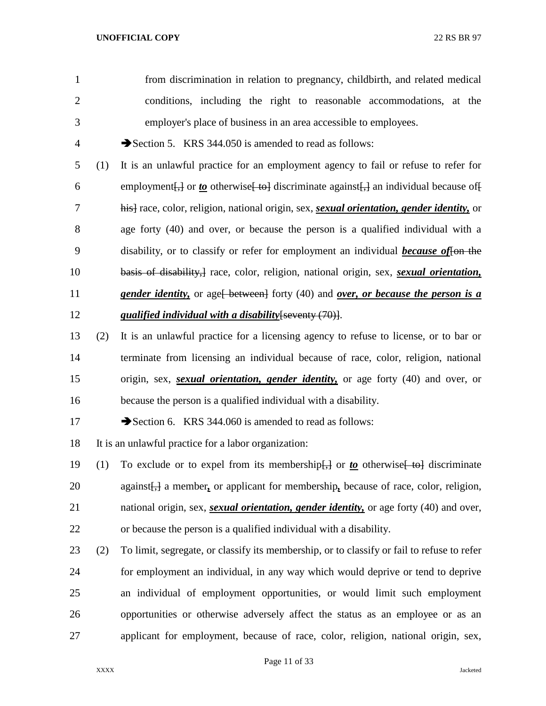from discrimination in relation to pregnancy, childbirth, and related medical conditions, including the right to reasonable accommodations, at the employer's place of business in an area accessible to employees.

4 Section 5. KRS 344.050 is amended to read as follows:

 (1) It is an unlawful practice for an employment agency to fail or refuse to refer for 6 employment $\left\{\frac{1}{2}\right\}$  or <u>to</u> otherwise  $\left\{\frac{1}{2}$  discriminate against $\left\{\frac{1}{2}\right\}$  an individual because of  $\left\{\frac{1}{2}\right\}$  his] race, color, religion, national origin, sex, *sexual orientation, gender identity,* or age forty (40) and over, or because the person is a qualified individual with a disability, or to classify or refer for employment an individual *because of*[on the basis of disability,] race, color, religion, national origin, sex, *sexual orientation,*  **gender identity,** or age<del>[ between]</del> forty (40) and *over, or because the person is a qualified individual with a disability*[seventy (70)].

- (2) It is an unlawful practice for a licensing agency to refuse to license, or to bar or terminate from licensing an individual because of race, color, religion, national origin, sex, *sexual orientation, gender identity,* or age forty (40) and over, or because the person is a qualified individual with a disability.
- 17 Section 6. KRS 344.060 is amended to read as follows:

It is an unlawful practice for a labor organization:

- 19 (1) To exclude or to expel from its membership<del>[,]</del> or *to* otherwise [ to discriminate against[,] a member*,* or applicant for membership*,* because of race, color, religion, national origin, sex, *sexual orientation, gender identity,* or age forty (40) and over, or because the person is a qualified individual with a disability.
- (2) To limit, segregate, or classify its membership, or to classify or fail to refuse to refer for employment an individual, in any way which would deprive or tend to deprive an individual of employment opportunities, or would limit such employment opportunities or otherwise adversely affect the status as an employee or as an applicant for employment, because of race, color, religion, national origin, sex,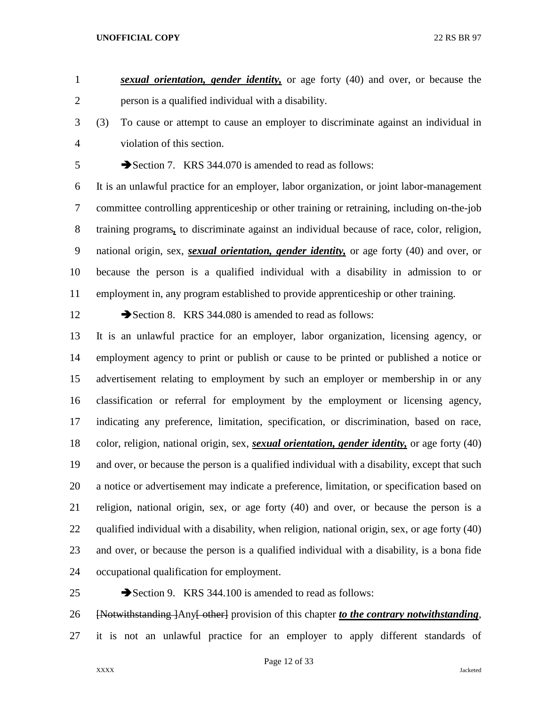*sexual orientation, gender identity,* or age forty (40) and over, or because the person is a qualified individual with a disability.

 (3) To cause or attempt to cause an employer to discriminate against an individual in violation of this section.

5 Section 7. KRS 344.070 is amended to read as follows:

 It is an unlawful practice for an employer, labor organization, or joint labor-management committee controlling apprenticeship or other training or retraining, including on-the-job training programs*,* to discriminate against an individual because of race, color, religion, national origin, sex, *sexual orientation, gender identity,* or age forty (40) and over, or because the person is a qualified individual with a disability in admission to or employment in, any program established to provide apprenticeship or other training.

12 Section 8. KRS 344.080 is amended to read as follows:

 It is an unlawful practice for an employer, labor organization, licensing agency, or employment agency to print or publish or cause to be printed or published a notice or advertisement relating to employment by such an employer or membership in or any classification or referral for employment by the employment or licensing agency, indicating any preference, limitation, specification, or discrimination, based on race, color, religion, national origin, sex, *sexual orientation, gender identity,* or age forty (40) and over, or because the person is a qualified individual with a disability, except that such a notice or advertisement may indicate a preference, limitation, or specification based on religion, national origin, sex, or age forty (40) and over, or because the person is a qualified individual with a disability, when religion, national origin, sex, or age forty (40) and over, or because the person is a qualified individual with a disability, is a bona fide occupational qualification for employment.

25 Section 9. KRS 344.100 is amended to read as follows: [Notwithstanding ]Any[ other] provision of this chapter *to the contrary notwithstanding*, it is not an unlawful practice for an employer to apply different standards of

Page 12 of 33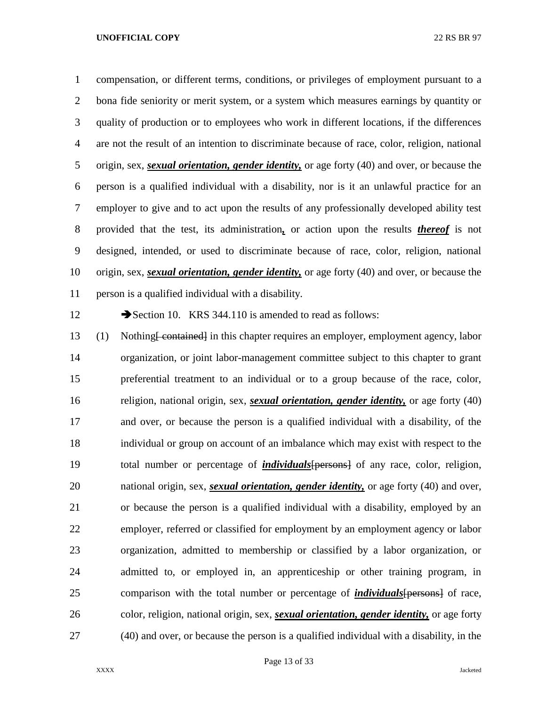compensation, or different terms, conditions, or privileges of employment pursuant to a bona fide seniority or merit system, or a system which measures earnings by quantity or quality of production or to employees who work in different locations, if the differences are not the result of an intention to discriminate because of race, color, religion, national origin, sex, *sexual orientation, gender identity,* or age forty (40) and over, or because the person is a qualified individual with a disability, nor is it an unlawful practice for an employer to give and to act upon the results of any professionally developed ability test provided that the test, its administration*,* or action upon the results *thereof* is not designed, intended, or used to discriminate because of race, color, religion, national origin, sex, *sexual orientation, gender identity,* or age forty (40) and over, or because the person is a qualified individual with a disability.

12 Section 10. KRS 344.110 is amended to read as follows:

 (1) Nothing[ contained] in this chapter requires an employer, employment agency, labor organization, or joint labor-management committee subject to this chapter to grant preferential treatment to an individual or to a group because of the race, color, religion, national origin, sex, *sexual orientation, gender identity,* or age forty (40) and over, or because the person is a qualified individual with a disability, of the individual or group on account of an imbalance which may exist with respect to the total number or percentage of *individuals*[persons] of any race, color, religion, national origin, sex, *sexual orientation, gender identity,* or age forty (40) and over, or because the person is a qualified individual with a disability, employed by an employer, referred or classified for employment by an employment agency or labor organization, admitted to membership or classified by a labor organization, or admitted to, or employed in, an apprenticeship or other training program, in comparison with the total number or percentage of *individuals*[persons] of race, color, religion, national origin, sex, *sexual orientation, gender identity,* or age forty (40) and over, or because the person is a qualified individual with a disability, in the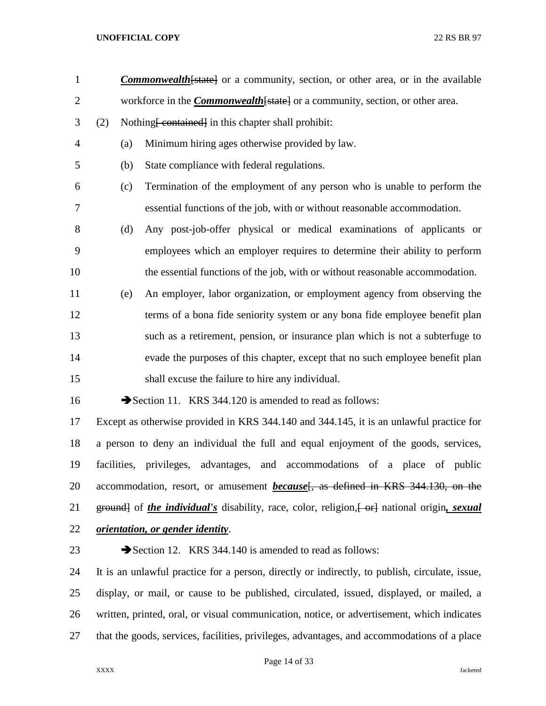- 1 **Commonwealth** [state] or a community, section, or other area, or in the available 2 workforce in the *Commonwealth* [state] or a community, section, or other area. 3 (2) Nothing <del>[ contained]</del> in this chapter shall prohibit:
- (a) Minimum hiring ages otherwise provided by law.
- (b) State compliance with federal regulations.
- (c) Termination of the employment of any person who is unable to perform the essential functions of the job, with or without reasonable accommodation.
- (d) Any post-job-offer physical or medical examinations of applicants or employees which an employer requires to determine their ability to perform the essential functions of the job, with or without reasonable accommodation.
- (e) An employer, labor organization, or employment agency from observing the terms of a bona fide seniority system or any bona fide employee benefit plan such as a retirement, pension, or insurance plan which is not a subterfuge to evade the purposes of this chapter, except that no such employee benefit plan shall excuse the failure to hire any individual.

16 Section 11. KRS 344.120 is amended to read as follows:

 Except as otherwise provided in KRS 344.140 and 344.145, it is an unlawful practice for a person to deny an individual the full and equal enjoyment of the goods, services, facilities, privileges, advantages, and accommodations of a place of public 20 accommodation, resort, or amusement *because*<sup>[</sup>, as defined in KRS 344.130, on the 21 ground of *the individual's* disability, race, color, religion,  $\leftarrow$  errel national origin, *sexual orientation, or gender identity*.

23 Section 12. KRS 344.140 is amended to read as follows:

 It is an unlawful practice for a person, directly or indirectly, to publish, circulate, issue, display, or mail, or cause to be published, circulated, issued, displayed, or mailed, a written, printed, oral, or visual communication, notice, or advertisement, which indicates that the goods, services, facilities, privileges, advantages, and accommodations of a place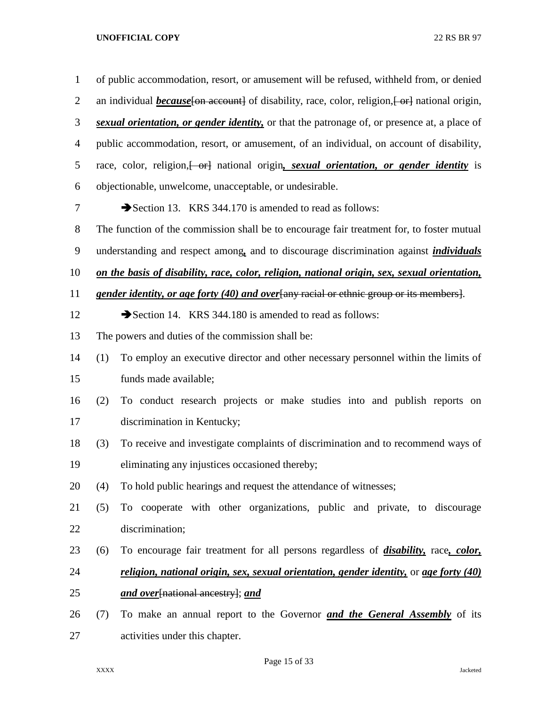| $\mathbf{1}$   |                                                                                                        | of public accommodation, resort, or amusement will be refused, withheld from, or denied            |  |  |
|----------------|--------------------------------------------------------------------------------------------------------|----------------------------------------------------------------------------------------------------|--|--|
| $\overline{2}$ | an individual <i>because</i> [on account] of disability, race, color, religion, [or ] national origin, |                                                                                                    |  |  |
| 3              |                                                                                                        | sexual orientation, or gender identity, or that the patronage of, or presence at, a place of       |  |  |
| $\overline{4}$ |                                                                                                        | public accommodation, resort, or amusement, of an individual, on account of disability,            |  |  |
| 5              |                                                                                                        | race, color, religion, or antional origin, sexual orientation, or gender identity is               |  |  |
| 6              |                                                                                                        | objectionable, unwelcome, unacceptable, or undesirable.                                            |  |  |
| 7              |                                                                                                        | Section 13. KRS 344.170 is amended to read as follows:                                             |  |  |
| 8              |                                                                                                        | The function of the commission shall be to encourage fair treatment for, to foster mutual          |  |  |
| 9              |                                                                                                        | understanding and respect among, and to discourage discrimination against <i>individuals</i>       |  |  |
| 10             |                                                                                                        | on the basis of disability, race, color, religion, national origin, sex, sexual orientation,       |  |  |
| 11             |                                                                                                        | gender identity, or age forty (40) and over any racial or ethnic group or its members.             |  |  |
| 12             |                                                                                                        | Section 14. KRS 344.180 is amended to read as follows:                                             |  |  |
| 13             |                                                                                                        | The powers and duties of the commission shall be:                                                  |  |  |
| 14             | (1)                                                                                                    | To employ an executive director and other necessary personnel within the limits of                 |  |  |
| 15             |                                                                                                        | funds made available;                                                                              |  |  |
| 16             | (2)                                                                                                    | To conduct research projects or make studies into and publish reports on                           |  |  |
| 17             |                                                                                                        | discrimination in Kentucky;                                                                        |  |  |
| 18             | (3)                                                                                                    | To receive and investigate complaints of discrimination and to recommend ways of                   |  |  |
| 19             |                                                                                                        | eliminating any injustices occasioned thereby;                                                     |  |  |
| 20             | (4)                                                                                                    | To hold public hearings and request the attendance of witnesses;                                   |  |  |
| 21             | (5)                                                                                                    | To cooperate with other organizations, public and private, to discourage                           |  |  |
| 22             |                                                                                                        | discrimination;                                                                                    |  |  |
| 23             | (6)                                                                                                    | To encourage fair treatment for all persons regardless of <i>disability</i> , race, <i>color</i> , |  |  |
| 24             |                                                                                                        | religion, national origin, sex, sexual orientation, gender identity, or age forty (40)             |  |  |
| 25             |                                                                                                        | and over[national ancestry]; and                                                                   |  |  |
| 26             | (7)                                                                                                    | To make an annual report to the Governor <b>and the General Assembly</b> of its                    |  |  |
| 27             |                                                                                                        | activities under this chapter.                                                                     |  |  |

Page 15 of 33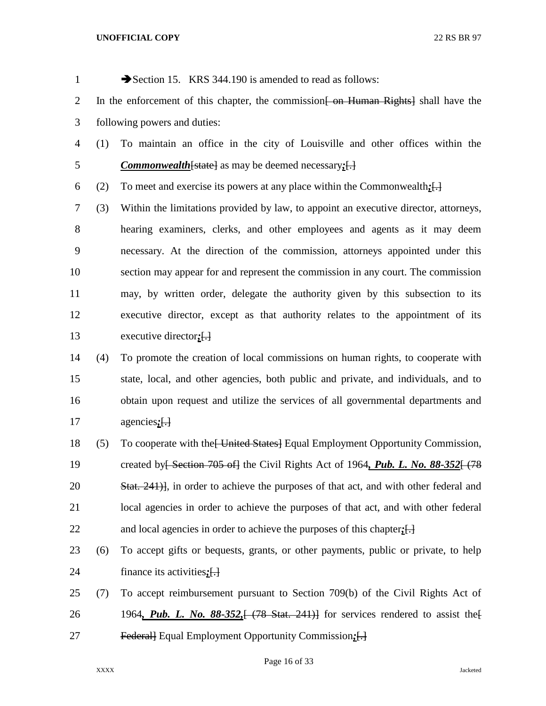| $\mathbf{1}$   |     | Section 15. KRS 344.190 is amended to read as follows:                                                |  |  |  |
|----------------|-----|-------------------------------------------------------------------------------------------------------|--|--|--|
| $\overline{2}$ |     | In the enforcement of this chapter, the commission <del>[ on Human Rights]</del> shall have the       |  |  |  |
| 3              |     | following powers and duties:                                                                          |  |  |  |
| $\overline{4}$ | (1) | To maintain an office in the city of Louisville and other offices within the                          |  |  |  |
| 5              |     | <b>Commonwealth</b> [state] as may be deemed necessary; $\left[\cdot\right]$                          |  |  |  |
| 6              | (2) | To meet and exercise its powers at any place within the Commonwealth: $\left\{\cdot\right\}$          |  |  |  |
| 7              | (3) | Within the limitations provided by law, to appoint an executive director, attorneys,                  |  |  |  |
| 8              |     | hearing examiners, clerks, and other employees and agents as it may deem                              |  |  |  |
| 9              |     | necessary. At the direction of the commission, attorneys appointed under this                         |  |  |  |
| 10             |     | section may appear for and represent the commission in any court. The commission                      |  |  |  |
| 11             |     | may, by written order, delegate the authority given by this subsection to its                         |  |  |  |
| 12             |     | executive director, except as that authority relates to the appointment of its                        |  |  |  |
| 13             |     | executive director; $\left\{ \cdot \right\}$                                                          |  |  |  |
| 14             | (4) | To promote the creation of local commissions on human rights, to cooperate with                       |  |  |  |
| 15             |     | state, local, and other agencies, both public and private, and individuals, and to                    |  |  |  |
| 16             |     | obtain upon request and utilize the services of all governmental departments and                      |  |  |  |
| 17             |     | agencies; $\left\{ \cdot \right\}$                                                                    |  |  |  |
| 18             | (5) | To cooperate with the United States Equal Employment Opportunity Commission,                          |  |  |  |
| 19             |     | created by <del>[ Section 705 of]</del> the Civil Rights Act of 1964, <i>Pub. L. No. 88-352</i> [478] |  |  |  |
| 20             |     | Stat. 241), in order to achieve the purposes of that act, and with other federal and                  |  |  |  |

 local agencies in order to achieve the purposes of that act, and with other federal and local agencies in order to achieve the purposes of this chapter*;*[.]

- (6) To accept gifts or bequests, grants, or other payments, public or private, to help finance its activities*;*[.]
- (7) To accept reimbursement pursuant to Section 709(b) of the Civil Rights Act of 1964*, Pub. L. No. 88-352,*[ (78 Stat. 241)] for services rendered to assist the[ Federal] Equal Employment Opportunity Commission*;*[.]

Page 16 of 33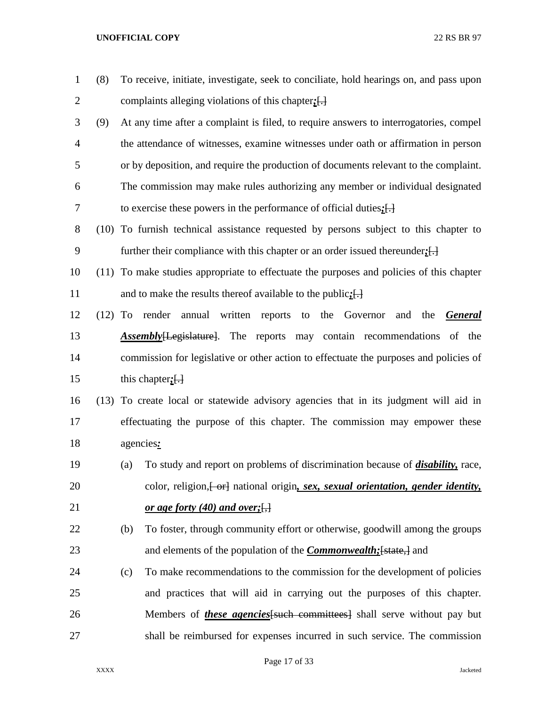| $\mathbf{1}$   | (8)       |     | To receive, initiate, investigate, seek to conciliate, hold hearings on, and pass upon   |
|----------------|-----------|-----|------------------------------------------------------------------------------------------|
| $\overline{2}$ |           |     | complaints alleging violations of this chapter; $\left\{\frac{1}{2}\right\}$             |
| 3              | (9)       |     | At any time after a complaint is filed, to require answers to interrogatories, compel    |
| $\overline{4}$ |           |     | the attendance of witnesses, examine witnesses under oath or affirmation in person       |
| 5              |           |     | or by deposition, and require the production of documents relevant to the complaint.     |
| 6              |           |     | The commission may make rules authorizing any member or individual designated            |
| 7              |           |     | to exercise these powers in the performance of official duties; $[\cdot]$                |
| 8              |           |     | (10) To furnish technical assistance requested by persons subject to this chapter to     |
| 9              |           |     | further their compliance with this chapter or an order issued thereunder; $[\cdot]$      |
| 10             |           |     | (11) To make studies appropriate to effectuate the purposes and policies of this chapter |
| 11             |           |     | and to make the results thereof available to the public; $\left\{\cdot\right\}$          |
| 12             | $(12)$ To |     | render annual written<br>to the Governor<br>reports<br>and<br>the<br><b>General</b>      |
| 13             |           |     | <b>Assembly</b> [Legislature]. The reports may contain recommendations of the            |
| 14             |           |     | commission for legislative or other action to effectuate the purposes and policies of    |
| 15             |           |     | this chapter; $\left\{ \cdot \right\}$                                                   |
| 16             |           |     | (13) To create local or statewide advisory agencies that in its judgment will aid in     |
| 17             |           |     | effectuating the purpose of this chapter. The commission may empower these               |
| 18             |           |     | agencies:                                                                                |
| 19             |           | (a) | To study and report on problems of discrimination because of <i>disability</i> , race,   |
| 20             |           |     | color, religion, [-or] national origin, sex, sexual orientation, gender identity,        |
| 21             |           |     | <u>or age forty (40) and over;</u>                                                       |
| 22             |           | (b) | To foster, through community effort or otherwise, goodwill among the groups              |
| 23             |           |     | and elements of the population of the <i>Commonwealth</i> ; [state,] and                 |
| 24             |           | (c) | To make recommendations to the commission for the development of policies                |
| 25             |           |     | and practices that will aid in carrying out the purposes of this chapter.                |
| 26             |           |     | Members of <i>these agencies</i> [such committees] shall serve without pay but           |
| 27             |           |     | shall be reimbursed for expenses incurred in such service. The commission                |

Page 17 of 33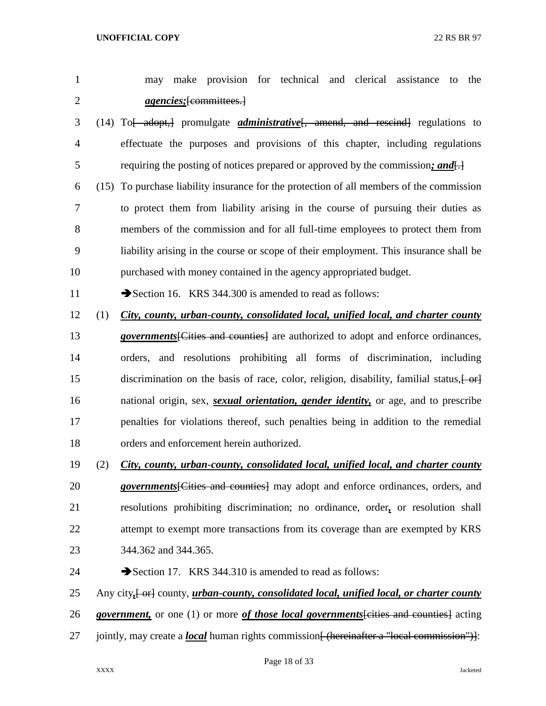|  |                                 |  |  | may make provision for technical and clerical assistance to the |  |
|--|---------------------------------|--|--|-----------------------------------------------------------------|--|
|  | <i>agencies</i> ; [committees.] |  |  |                                                                 |  |

- (14) To[ adopt,] promulgate *administrative*[, amend, and rescind] regulations to effectuate the purposes and provisions of this chapter, including regulations requiring the posting of notices prepared or approved by the commission*; and*[.]
- (15) To purchase liability insurance for the protection of all members of the commission to protect them from liability arising in the course of pursuing their duties as members of the commission and for all full-time employees to protect them from liability arising in the course or scope of their employment. This insurance shall be purchased with money contained in the agency appropriated budget.

11 Section 16. KRS 344.300 is amended to read as follows:

- (1) *City, county, urban-county, consolidated local, unified local, and charter county*
- *governments*[Cities and counties] are authorized to adopt and enforce ordinances, orders, and resolutions prohibiting all forms of discrimination, including 15 discrimination on the basis of race, color, religion, disability, familial status,  $\left\{\theta + \theta\right\}$  national origin, sex, *sexual orientation, gender identity,* or age, and to prescribe penalties for violations thereof, such penalties being in addition to the remedial orders and enforcement herein authorized.
- (2) *City, county, urban-county, consolidated local, unified local, and charter county*
- *governments*[Cities and counties] may adopt and enforce ordinances, orders, and resolutions prohibiting discrimination; no ordinance, order*,* or resolution shall 22 attempt to exempt more transactions from its coverage than are exempted by KRS 344.362 and 344.365.
- 24 Section 17. KRS 344.310 is amended to read as follows:
- 25 Any city,  $\left\{\text{or} \right\}$  county, *urban-county, consolidated local, unified local, or charter county*
- *government,* or one (1) or more *of those local governments*[cities and counties] acting
- 27 jointly, may create a *local* human rights commission<del>[ (hereinafter a "local commission")]</del>: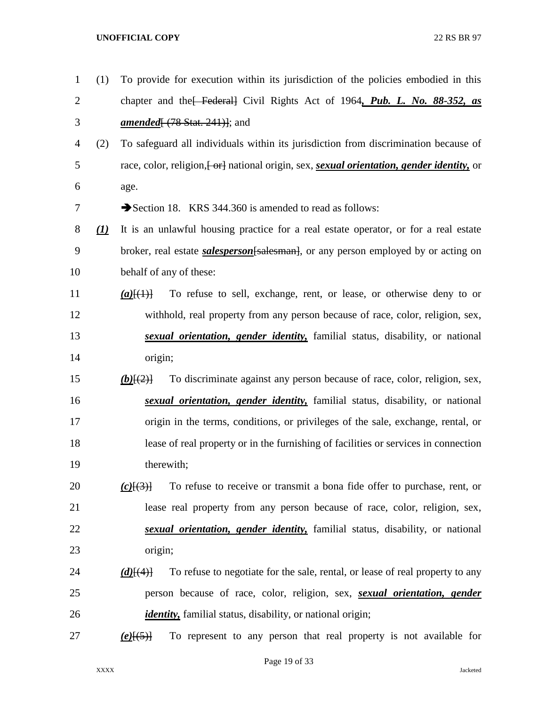| $\mathbf{1}$   | (1)                            | To provide for execution within its jurisdiction of the policies embodied in this            |
|----------------|--------------------------------|----------------------------------------------------------------------------------------------|
| $\overline{2}$ |                                | chapter and the Federal Civil Rights Act of 1964, Pub. L. No. 88-352, as                     |
| 3              |                                | <i>amended</i> $(78$ Stat. 241)]; and                                                        |
| 4              | (2)                            | To safeguard all individuals within its jurisdiction from discrimination because of          |
| 5              |                                | race, color, religion, [or ] national origin, sex, sexual orientation, gender identity, or   |
| 6              |                                | age.                                                                                         |
| 7              |                                | Section 18. KRS 344.360 is amended to read as follows:                                       |
| 8              | $\left( \underline{I} \right)$ | It is an unlawful housing practice for a real estate operator, or for a real estate          |
| 9              |                                | broker, real estate <i>salesperson</i> [salesman], or any person employed by or acting on    |
| 10             |                                | behalf of any of these:                                                                      |
| 11             |                                | To refuse to sell, exchange, rent, or lease, or otherwise deny to or<br>$(a)$ [ $(1)$ ]      |
| 12             |                                | withhold, real property from any person because of race, color, religion, sex,               |
| 13             |                                | sexual orientation, gender identity, familial status, disability, or national                |
| 14             |                                | origin;                                                                                      |
| 15             |                                | To discriminate against any person because of race, color, religion, sex,<br>$(b)$ [(2)]     |
| 16             |                                | sexual orientation, gender identity, familial status, disability, or national                |
| 17             |                                | origin in the terms, conditions, or privileges of the sale, exchange, rental, or             |
| 18             |                                | lease of real property or in the furnishing of facilities or services in connection          |
| 19             |                                | therewith;                                                                                   |
| 20             |                                | To refuse to receive or transmit a bona fide offer to purchase, rent, or<br>$(c)$ $\{3\}$    |
| 21             |                                | lease real property from any person because of race, color, religion, sex,                   |
| 22             |                                | sexual orientation, gender identity, familial status, disability, or national                |
| 23             |                                | origin;                                                                                      |
| 24             |                                | To refuse to negotiate for the sale, rental, or lease of real property to any<br>$(d)$ [(4)] |
| 25             |                                | person because of race, color, religion, sex, <i>sexual orientation</i> , <i>gender</i>      |
| 26             |                                | <i>identity</i> , familial status, disability, or national origin;                           |
| 27             |                                | To represent to any person that real property is not available for<br>$(e)$ [(5)]            |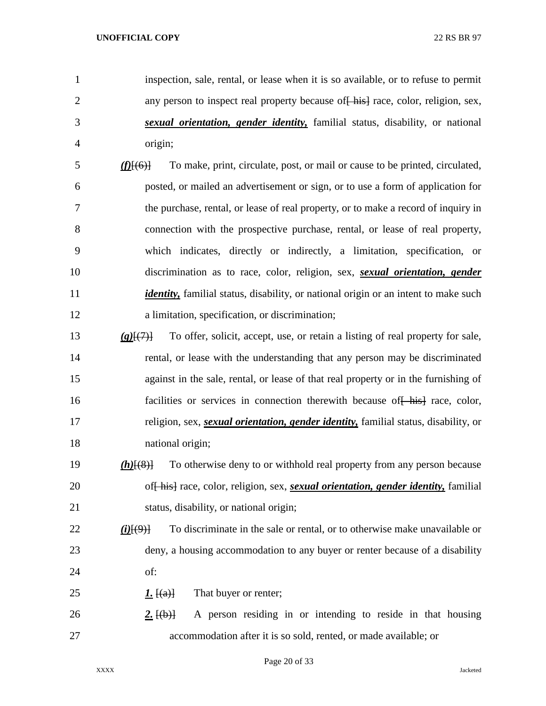- inspection, sale, rental, or lease when it is so available, or to refuse to permit 2 any person to inspect real property because of his race, color, religion, sex, *sexual orientation, gender identity,* familial status, disability, or national origin;
- *(f)*[(6)] To make, print, circulate, post, or mail or cause to be printed, circulated, posted, or mailed an advertisement or sign, or to use a form of application for the purchase, rental, or lease of real property, or to make a record of inquiry in connection with the prospective purchase, rental, or lease of real property, which indicates, directly or indirectly, a limitation, specification, or discrimination as to race, color, religion, sex, *sexual orientation, gender identity*, familial status, disability, or national origin or an intent to make such a limitation, specification, or discrimination;
- *(g)*[(7)] To offer, solicit, accept, use, or retain a listing of real property for sale, rental, or lease with the understanding that any person may be discriminated against in the sale, rental, or lease of that real property or in the furnishing of 16 facilities or services in connection therewith because of his race, color, religion, sex, *sexual orientation, gender identity,* familial status, disability, or national origin;
- *(h)*[(8)] To otherwise deny to or withhold real property from any person because of[ his] race, color, religion, sex, *sexual orientation, gender identity,* familial status, disability, or national origin;
- *(i)*[(9)] To discriminate in the sale or rental, or to otherwise make unavailable or deny, a housing accommodation to any buyer or renter because of a disability of:
- 25  $1. \text{ }$   $\text{ }$   $\text{ }$   $\text{ }$   $\text{ }$   $\text{ }$   $\text{ }$   $\text{ }$   $\text{ }$   $\text{ }$   $\text{ }$   $\text{ }$   $\text{ }$   $\text{ }$   $\text{ }$   $\text{ }$   $\text{ }$   $\text{ }$   $\text{ }$   $\text{ }$   $\text{ }$   $\text{ }$   $\text{ }$   $\text{ }$   $\text{ }$   $\text{ }$   $\text{ }$   $\text{ }$   $\text{ }$   $\text{ }$   $\text{ }$
- 26 **2.**  $\{(\mathbf{b})\}$  A person residing in or intending to reside in that housing accommodation after it is so sold, rented, or made available; or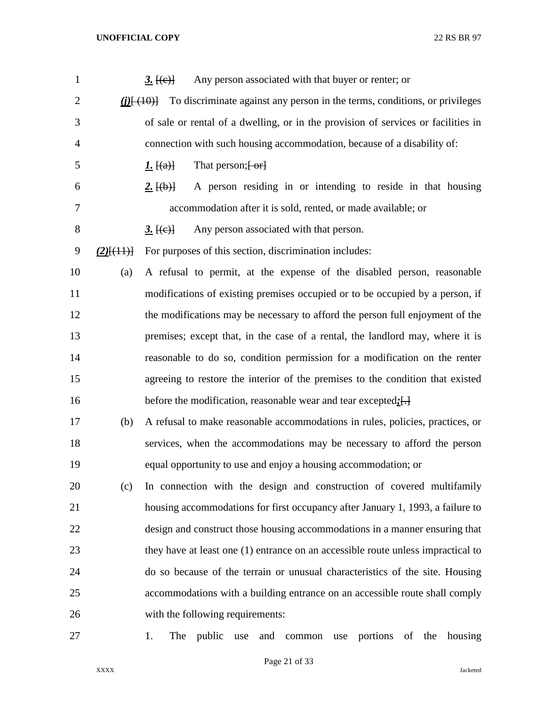| $\mathbf{1}$   |              | Any person associated with that buyer or renter; or<br><u>3. <math>[(e)]</math></u>          |
|----------------|--------------|----------------------------------------------------------------------------------------------|
| $\overline{2}$ |              | To discriminate against any person in the terms, conditions, or privileges<br>$(i)$ $\{40\}$ |
| 3              |              | of sale or rental of a dwelling, or in the provision of services or facilities in            |
| 4              |              | connection with such housing accommodation, because of a disability of:                      |
| 5              |              | That person; $\left\{ -\text{or}\right\}$<br><u><i>I</i>.</u> $[(a)]$                        |
| 6              |              | A person residing in or intending to reside in that housing<br>2. $\{(\mathbf{b})\}$         |
| 7              |              | accommodation after it is sold, rented, or made available; or                                |
| $8\,$          |              | Any person associated with that person.<br><u>3. <math>[(e)]</math></u>                      |
| 9              | $(2)$ [(11)] | For purposes of this section, discrimination includes:                                       |
| 10             | (a)          | A refusal to permit, at the expense of the disabled person, reasonable                       |
| 11             |              | modifications of existing premises occupied or to be occupied by a person, if                |
| 12             |              | the modifications may be necessary to afford the person full enjoyment of the                |
| 13             |              | premises; except that, in the case of a rental, the landlord may, where it is                |
| 14             |              | reasonable to do so, condition permission for a modification on the renter                   |
| 15             |              | agreeing to restore the interior of the premises to the condition that existed               |
| 16             |              | before the modification, reasonable wear and tear excepted:[-]                               |
| 17             | (b)          | A refusal to make reasonable accommodations in rules, policies, practices, or                |
| 18             |              | services, when the accommodations may be necessary to afford the person                      |
| 19             |              | equal opportunity to use and enjoy a housing accommodation; or                               |
| 20             | (c)          | In connection with the design and construction of covered multifamily                        |
| 21             |              | housing accommodations for first occupancy after January 1, 1993, a failure to               |
| 22             |              | design and construct those housing accommodations in a manner ensuring that                  |
| 23             |              | they have at least one (1) entrance on an accessible route unless impractical to             |
| 24             |              | do so because of the terrain or unusual characteristics of the site. Housing                 |
| 25             |              | accommodations with a building entrance on an accessible route shall comply                  |
| 26             |              | with the following requirements:                                                             |
| 27             |              | The public<br>portions<br>of the<br>housing<br>1.<br>use<br>and<br>common<br>use             |

Page 21 of 33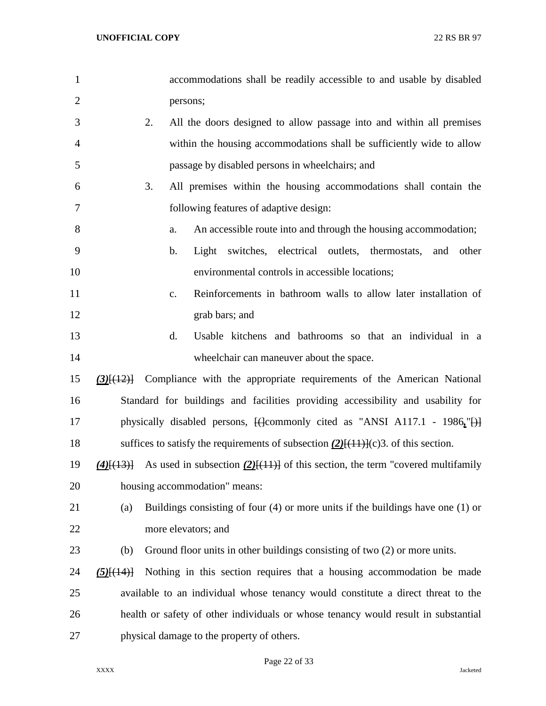| $\mathbf{1}$   |                                      | accommodations shall be readily accessible to and usable by disabled                          |
|----------------|--------------------------------------|-----------------------------------------------------------------------------------------------|
| $\overline{2}$ |                                      | persons;                                                                                      |
| 3              | 2.                                   | All the doors designed to allow passage into and within all premises                          |
| 4              |                                      | within the housing accommodations shall be sufficiently wide to allow                         |
| 5              |                                      | passage by disabled persons in wheelchairs; and                                               |
| 6              | 3.                                   | All premises within the housing accommodations shall contain the                              |
| 7              |                                      | following features of adaptive design:                                                        |
| 8              |                                      | An accessible route into and through the housing accommodation;<br>a.                         |
| 9              |                                      | switches, electrical outlets, thermostats,<br>b.<br>Light<br>and other                        |
| 10             |                                      | environmental controls in accessible locations;                                               |
| 11             |                                      | Reinforcements in bathroom walls to allow later installation of<br>c.                         |
| 12             |                                      | grab bars; and                                                                                |
| 13             |                                      | d.<br>Usable kitchens and bathrooms so that an individual in a                                |
| 14             |                                      | wheelchair can maneuver about the space.                                                      |
| 15             | $(3)$ [(12)]                         | Compliance with the appropriate requirements of the American National                         |
| 16             |                                      | Standard for buildings and facilities providing accessibility and usability for               |
| 17             |                                      | physically disabled persons, $\frac{1}{2}$ (decommonly cited as "ANSI A117.1 - 1986, "H)      |
| 18             |                                      | suffices to satisfy the requirements of subsection $(2)$ [ $(11)$ ] $(c)$ 3. of this section. |
| 19             | $(4)$ $\left[\frac{(13)}{12}\right]$ | As used in subsection $(2)$ [(11)] of this section, the term "covered multifamily             |
| 20             |                                      | housing accommodation" means:                                                                 |
| 21             | (a)                                  | Buildings consisting of four $(4)$ or more units if the buildings have one $(1)$ or           |
| 22             |                                      | more elevators; and                                                                           |
| 23             | (b)                                  | Ground floor units in other buildings consisting of two (2) or more units.                    |
| 24             | $(5)$ [ $(14)$ ]                     | Nothing in this section requires that a housing accommodation be made                         |
| 25             |                                      | available to an individual whose tenancy would constitute a direct threat to the              |
| 26             |                                      | health or safety of other individuals or whose tenancy would result in substantial            |
| 27             |                                      | physical damage to the property of others.                                                    |

Page 22 of 33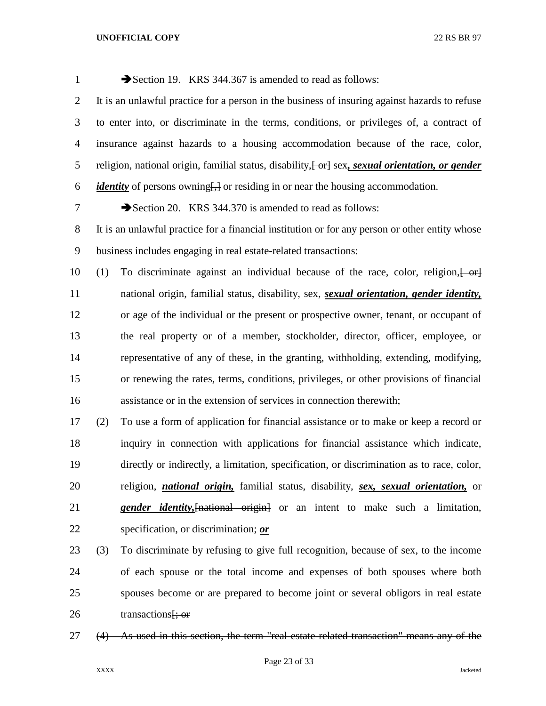| $\mathbf{1}$   |     | Section 19. KRS 344.367 is amended to read as follows:                                                      |
|----------------|-----|-------------------------------------------------------------------------------------------------------------|
| $\overline{2}$ |     | It is an unlawful practice for a person in the business of insuring against hazards to refuse               |
| 3              |     | to enter into, or discriminate in the terms, conditions, or privileges of, a contract of                    |
| $\overline{4}$ |     | insurance against hazards to a housing accommodation because of the race, color,                            |
| 5              |     | religion, national origin, familial status, disability, [-or] sex, sexual orientation, or gender            |
| 6              |     | <i>identity</i> of persons owning <del>[,]</del> or residing in or near the housing accommodation.          |
| 7              |     | Section 20. KRS 344.370 is amended to read as follows:                                                      |
| $8\phantom{1}$ |     | It is an unlawful practice for a financial institution or for any person or other entity whose              |
| 9              |     | business includes engaging in real estate-related transactions:                                             |
| 10             | (1) | To discriminate against an individual because of the race, color, religion, or                              |
| 11             |     | national origin, familial status, disability, sex, sexual orientation, gender identity,                     |
| 12             |     | or age of the individual or the present or prospective owner, tenant, or occupant of                        |
| 13             |     | the real property or of a member, stockholder, director, officer, employee, or                              |
| 14             |     | representative of any of these, in the granting, withholding, extending, modifying,                         |
| 15             |     | or renewing the rates, terms, conditions, privileges, or other provisions of financial                      |
| 16             |     | assistance or in the extension of services in connection therewith;                                         |
| 17             | (2) | To use a form of application for financial assistance or to make or keep a record or                        |
| 18             |     | inquiry in connection with applications for financial assistance which indicate,                            |
| 19             |     | directly or indirectly, a limitation, specification, or discrimination as to race, color,                   |
| 20             |     | religion, <i>national origin</i> , familial status, disability, <i>sex</i> , <i>sexual orientation</i> , or |
| 21             |     | <b>gender identity,</b> [national origin] or an intent to make such a limitation,                           |
| 22             |     | specification, or discrimination; or                                                                        |
| 23             | (3) | To discriminate by refusing to give full recognition, because of sex, to the income                         |

- of each spouse or the total income and expenses of both spouses where both spouses become or are prepared to become joint or several obligors in real estate 26 transactions  $\frac{1}{2}$ ; or
- (4) As used in this section, the term "real estate-related transaction" means any of the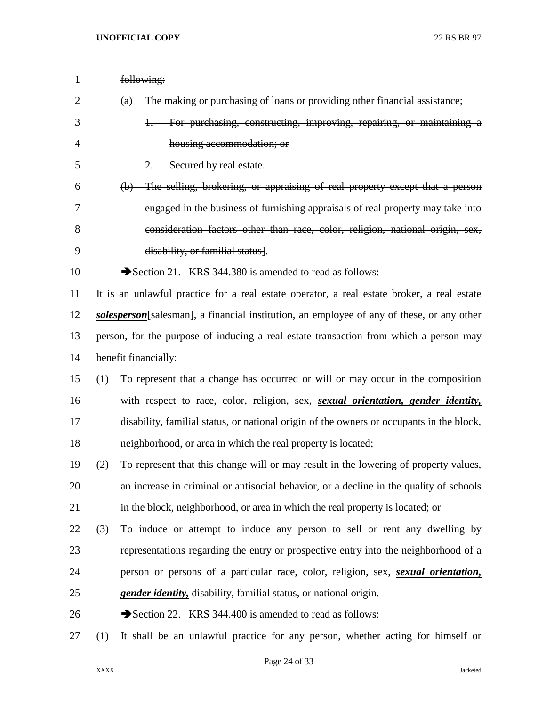| 1              |     | following:                                                                                               |
|----------------|-----|----------------------------------------------------------------------------------------------------------|
| $\overline{2}$ |     | The making or purchasing of loans or providing other financial assistance;<br>$\left(\mathrm{a}\right)$  |
| 3              |     | For purchasing, constructing, improving, repairing, or maintaining a                                     |
| 4              |     | housing accommodation; or                                                                                |
| 5              |     | $2$ .<br>Secured by real estate.                                                                         |
| 6              |     | The selling, brokering, or appraising of real property except that a person<br>$\left(\mathbf{b}\right)$ |
| 7              |     | engaged in the business of furnishing appraisals of real property may take into                          |
| 8              |     | consideration factors other than race, color, religion, national origin, sex,                            |
| 9              |     | disability, or familial status.                                                                          |
| 10             |     | Section 21. KRS 344.380 is amended to read as follows:                                                   |
| 11             |     | It is an unlawful practice for a real estate operator, a real estate broker, a real estate               |
| 12             |     | salesperson [salesman], a financial institution, an employee of any of these, or any other               |
| 13             |     | person, for the purpose of inducing a real estate transaction from which a person may                    |
| 14             |     | benefit financially:                                                                                     |
| 15             | (1) | To represent that a change has occurred or will or may occur in the composition                          |
| 16             |     | with respect to race, color, religion, sex, <i>sexual orientation</i> , <i>gender identity</i> ,         |
| 17             |     | disability, familial status, or national origin of the owners or occupants in the block,                 |
| 18             |     | neighborhood, or area in which the real property is located;                                             |
| 19             | (2) | To represent that this change will or may result in the lowering of property values,                     |
| 20             |     | an increase in criminal or antisocial behavior, or a decline in the quality of schools                   |
| 21             |     | in the block, neighborhood, or area in which the real property is located; or                            |
| 22             | (3) | To induce or attempt to induce any person to sell or rent any dwelling by                                |
| 23             |     | representations regarding the entry or prospective entry into the neighborhood of a                      |
| 24             |     | person or persons of a particular race, color, religion, sex, <i>sexual orientation</i> ,                |
| 25             |     | <i>gender identity</i> , disability, familial status, or national origin.                                |
| 26             |     | Section 22. KRS 344.400 is amended to read as follows:                                                   |
| 27             | (1) | It shall be an unlawful practice for any person, whether acting for himself or                           |

Page 24 of 33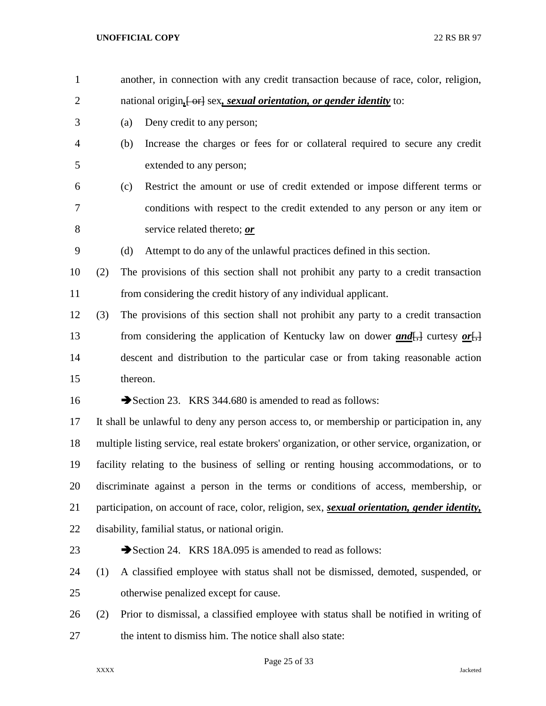| $\mathbf{1}$   |     |          | another, in connection with any credit transaction because of race, color, religion,                          |
|----------------|-----|----------|---------------------------------------------------------------------------------------------------------------|
| $\overline{2}$ |     |          | national origin <sub>t</sub> [or] sex, sexual orientation, or gender identity to:                             |
| 3              |     | (a)      | Deny credit to any person;                                                                                    |
| 4              |     | (b)      | Increase the charges or fees for or collateral required to secure any credit                                  |
| 5              |     |          | extended to any person;                                                                                       |
| 6              |     | (c)      | Restrict the amount or use of credit extended or impose different terms or                                    |
| 7              |     |          | conditions with respect to the credit extended to any person or any item or                                   |
| 8              |     |          | service related thereto; or                                                                                   |
| 9              |     | (d)      | Attempt to do any of the unlawful practices defined in this section.                                          |
| 10             | (2) |          | The provisions of this section shall not prohibit any party to a credit transaction                           |
| 11             |     |          | from considering the credit history of any individual applicant.                                              |
| 12             | (3) |          | The provisions of this section shall not prohibit any party to a credit transaction                           |
| 13             |     |          | from considering the application of Kentucky law on dower $and[\frac{1}{2}]$ curtesy or $[\frac{1}{2}]$       |
| 14             |     |          | descent and distribution to the particular case or from taking reasonable action                              |
| 15             |     | thereon. |                                                                                                               |
| 16             |     |          | Section 23. KRS 344.680 is amended to read as follows:                                                        |
| 17             |     |          | It shall be unlawful to deny any person access to, or membership or participation in, any                     |
| 18             |     |          | multiple listing service, real estate brokers' organization, or other service, organization, or               |
| 19             |     |          | facility relating to the business of selling or renting housing accommodations, or to                         |
| 20             |     |          | discriminate against a person in the terms or conditions of access, membership, or                            |
| 21             |     |          | participation, on account of race, color, religion, sex, <i>sexual orientation</i> , <i>gender identity</i> , |
| 22             |     |          | disability, familial status, or national origin.                                                              |
| 23             |     |          | Section 24. KRS 18A.095 is amended to read as follows:                                                        |
| 24             | (1) |          | A classified employee with status shall not be dismissed, demoted, suspended, or                              |
| 25             |     |          | otherwise penalized except for cause.                                                                         |
| 26             | (2) |          | Prior to dismissal, a classified employee with status shall be notified in writing of                         |
| 27             |     |          | the intent to dismiss him. The notice shall also state:                                                       |
|                |     |          |                                                                                                               |

Page 25 of 33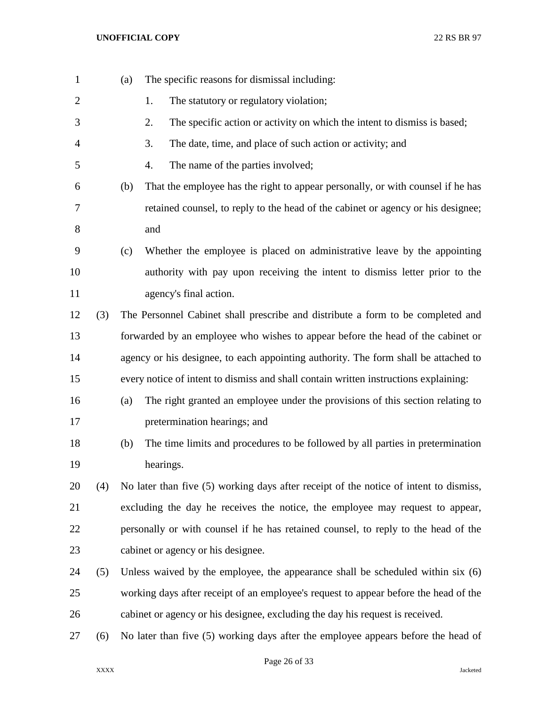| $\mathbf{1}$   |     | (a) | The specific reasons for dismissal including:                                         |
|----------------|-----|-----|---------------------------------------------------------------------------------------|
| $\overline{2}$ |     |     | The statutory or regulatory violation;<br>1.                                          |
| 3              |     |     | The specific action or activity on which the intent to dismiss is based;<br>2.        |
| 4              |     |     | The date, time, and place of such action or activity; and<br>3.                       |
| 5              |     |     | The name of the parties involved;<br>4.                                               |
| 6              |     | (b) | That the employee has the right to appear personally, or with counsel if he has       |
| 7              |     |     | retained counsel, to reply to the head of the cabinet or agency or his designee;      |
| 8              |     |     | and                                                                                   |
| 9              |     | (c) | Whether the employee is placed on administrative leave by the appointing              |
| 10             |     |     | authority with pay upon receiving the intent to dismiss letter prior to the           |
| 11             |     |     | agency's final action.                                                                |
| 12             | (3) |     | The Personnel Cabinet shall prescribe and distribute a form to be completed and       |
| 13             |     |     | forwarded by an employee who wishes to appear before the head of the cabinet or       |
| 14             |     |     | agency or his designee, to each appointing authority. The form shall be attached to   |
| 15             |     |     | every notice of intent to dismiss and shall contain written instructions explaining:  |
| 16             |     | (a) | The right granted an employee under the provisions of this section relating to        |
| 17             |     |     | pretermination hearings; and                                                          |
| 18             |     | (b) | The time limits and procedures to be followed by all parties in pretermination        |
| 19             |     |     | hearings.                                                                             |
| 20             | (4) |     | No later than five (5) working days after receipt of the notice of intent to dismiss, |
| 21             |     |     | excluding the day he receives the notice, the employee may request to appear,         |
| 22             |     |     | personally or with counsel if he has retained counsel, to reply to the head of the    |
| 23             |     |     | cabinet or agency or his designee.                                                    |
| 24             | (5) |     | Unless waived by the employee, the appearance shall be scheduled within six $(6)$     |
| 25             |     |     | working days after receipt of an employee's request to appear before the head of the  |
| 26             |     |     | cabinet or agency or his designee, excluding the day his request is received.         |
| 27             | (6) |     | No later than five (5) working days after the employee appears before the head of     |

Page 26 of 33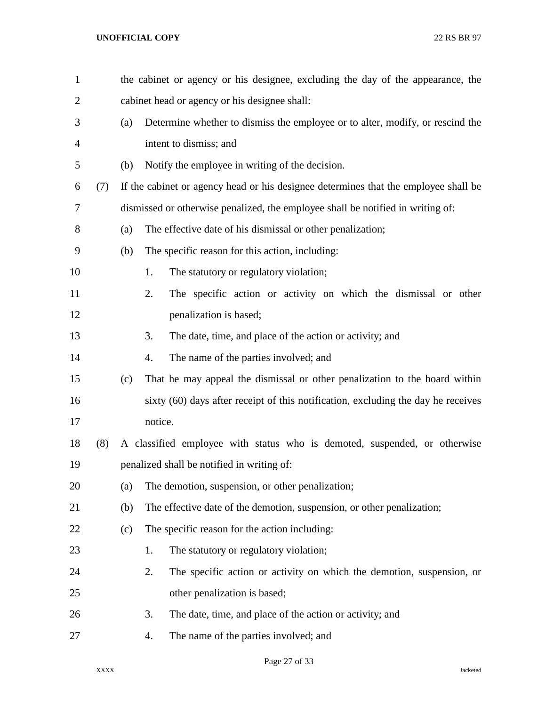| $\mathbf{1}$ |     |     | the cabinet or agency or his designee, excluding the day of the appearance, the     |
|--------------|-----|-----|-------------------------------------------------------------------------------------|
| 2            |     |     | cabinet head or agency or his designee shall:                                       |
| 3            |     | (a) | Determine whether to dismiss the employee or to alter, modify, or rescind the       |
| 4            |     |     | intent to dismiss; and                                                              |
| 5            |     | (b) | Notify the employee in writing of the decision.                                     |
| 6            | (7) |     | If the cabinet or agency head or his designee determines that the employee shall be |
| 7            |     |     | dismissed or otherwise penalized, the employee shall be notified in writing of:     |
| 8            |     | (a) | The effective date of his dismissal or other penalization;                          |
| 9            |     | (b) | The specific reason for this action, including:                                     |
| 10           |     |     | The statutory or regulatory violation;<br>1.                                        |
| 11           |     |     | The specific action or activity on which the dismissal or other<br>2.               |
| 12           |     |     | penalization is based;                                                              |
| 13           |     |     | 3.<br>The date, time, and place of the action or activity; and                      |
| 14           |     |     | The name of the parties involved; and<br>4.                                         |
| 15           |     | (c) | That he may appeal the dismissal or other penalization to the board within          |
| 16           |     |     | sixty (60) days after receipt of this notification, excluding the day he receives   |
| 17           |     |     | notice.                                                                             |
| 18           | (8) |     | A classified employee with status who is demoted, suspended, or otherwise           |
| 19           |     |     | penalized shall be notified in writing of:                                          |
| 20           |     | (a) | The demotion, suspension, or other penalization;                                    |
| 21           |     | (b) | The effective date of the demotion, suspension, or other penalization;              |
| 22           |     | (c) | The specific reason for the action including:                                       |
| 23           |     |     | The statutory or regulatory violation;<br>1.                                        |
| 24           |     |     | 2.<br>The specific action or activity on which the demotion, suspension, or         |
| 25           |     |     | other penalization is based;                                                        |
| 26           |     |     | 3.<br>The date, time, and place of the action or activity; and                      |
| 27           |     |     | The name of the parties involved; and<br>4.                                         |
|              |     |     |                                                                                     |

Page 27 of 33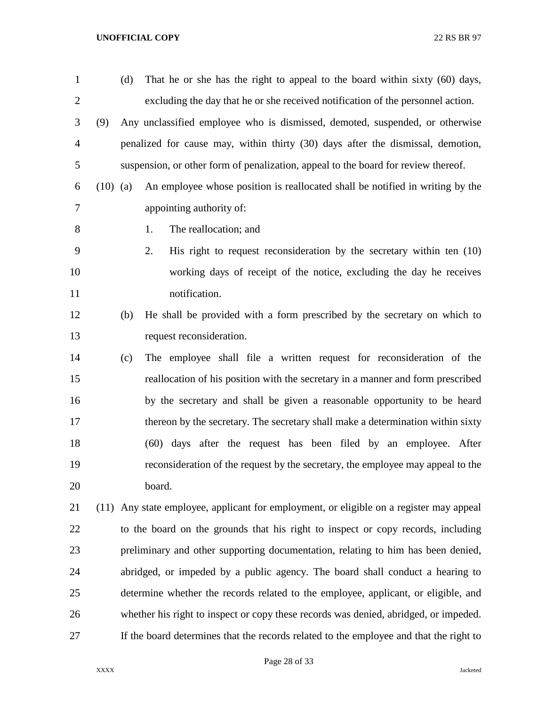| $\mathbf{1}$   |            | (d) | That he or she has the right to appeal to the board within sixty (60) days,             |
|----------------|------------|-----|-----------------------------------------------------------------------------------------|
| $\overline{2}$ |            |     | excluding the day that he or she received notification of the personnel action.         |
| 3              | (9)        |     | Any unclassified employee who is dismissed, demoted, suspended, or otherwise            |
| $\overline{4}$ |            |     | penalized for cause may, within thirty (30) days after the dismissal, demotion,         |
| 5              |            |     | suspension, or other form of penalization, appeal to the board for review thereof.      |
| 6              | $(10)$ (a) |     | An employee whose position is reallocated shall be notified in writing by the           |
| 7              |            |     | appointing authority of:                                                                |
| 8              |            |     | The reallocation; and<br>1.                                                             |
| 9              |            |     | 2.<br>His right to request reconsideration by the secretary within ten $(10)$           |
| 10             |            |     | working days of receipt of the notice, excluding the day he receives                    |
| 11             |            |     | notification.                                                                           |
| 12             |            | (b) | He shall be provided with a form prescribed by the secretary on which to                |
| 13             |            |     | request reconsideration.                                                                |
| 14             |            | (c) | The employee shall file a written request for reconsideration of the                    |
| 15             |            |     | reallocation of his position with the secretary in a manner and form prescribed         |
| 16             |            |     | by the secretary and shall be given a reasonable opportunity to be heard                |
| 17             |            |     | thereon by the secretary. The secretary shall make a determination within sixty         |
| 18             |            |     | (60) days after the request has been filed by an employee. After                        |
| 19             |            |     | reconsideration of the request by the secretary, the employee may appeal to the         |
| 20             |            |     | board.                                                                                  |
| 21             |            |     | (11) Any state employee, applicant for employment, or eligible on a register may appeal |
| 22             |            |     | to the board on the grounds that his right to inspect or copy records, including        |
| 23             |            |     | preliminary and other supporting documentation, relating to him has been denied,        |
| 24             |            |     | abridged, or impeded by a public agency. The board shall conduct a hearing to           |
| 25             |            |     | determine whether the records related to the employee, applicant, or eligible, and      |
| 26             |            |     | whether his right to inspect or copy these records was denied, abridged, or impeded.    |
| 27             |            |     | If the board determines that the records related to the employee and that the right to  |

## Page 28 of 33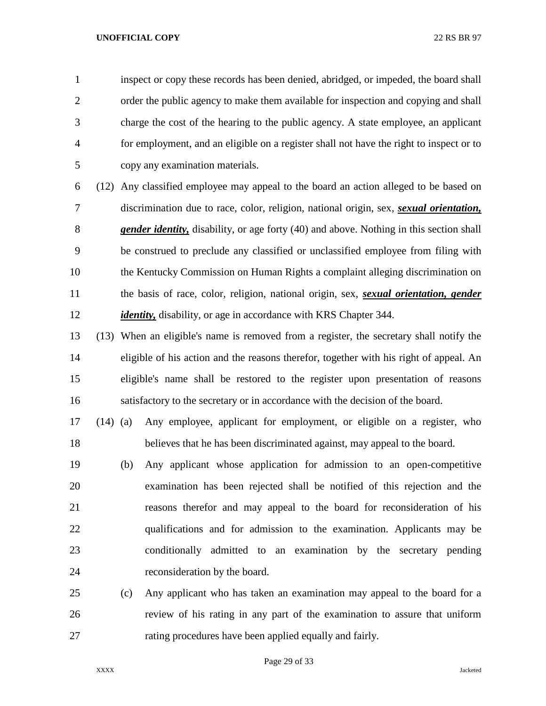inspect or copy these records has been denied, abridged, or impeded, the board shall order the public agency to make them available for inspection and copying and shall charge the cost of the hearing to the public agency. A state employee, an applicant for employment, and an eligible on a register shall not have the right to inspect or to copy any examination materials.

 (12) Any classified employee may appeal to the board an action alleged to be based on discrimination due to race, color, religion, national origin, sex, *sexual orientation, gender identity,* disability, or age forty (40) and above. Nothing in this section shall be construed to preclude any classified or unclassified employee from filing with the Kentucky Commission on Human Rights a complaint alleging discrimination on the basis of race, color, religion, national origin, sex, *sexual orientation, gender identity*, disability, or age in accordance with KRS Chapter 344.

 (13) When an eligible's name is removed from a register, the secretary shall notify the eligible of his action and the reasons therefor, together with his right of appeal. An eligible's name shall be restored to the register upon presentation of reasons satisfactory to the secretary or in accordance with the decision of the board.

 (14) (a) Any employee, applicant for employment, or eligible on a register, who believes that he has been discriminated against, may appeal to the board.

 (b) Any applicant whose application for admission to an open-competitive examination has been rejected shall be notified of this rejection and the reasons therefor and may appeal to the board for reconsideration of his qualifications and for admission to the examination. Applicants may be conditionally admitted to an examination by the secretary pending reconsideration by the board.

 (c) Any applicant who has taken an examination may appeal to the board for a review of his rating in any part of the examination to assure that uniform rating procedures have been applied equally and fairly.

Page 29 of 33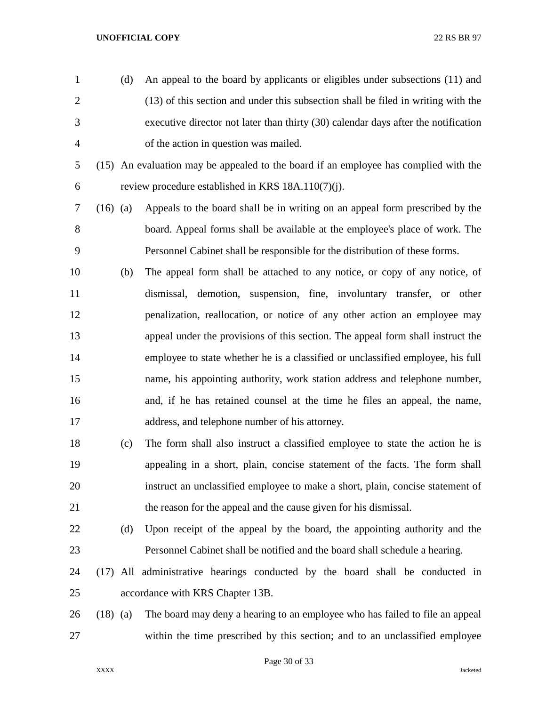- (d) An appeal to the board by applicants or eligibles under subsections (11) and (13) of this section and under this subsection shall be filed in writing with the executive director not later than thirty (30) calendar days after the notification of the action in question was mailed.
- (15) An evaluation may be appealed to the board if an employee has complied with the review procedure established in KRS 18A.110(7)(j).
- (16) (a) Appeals to the board shall be in writing on an appeal form prescribed by the board. Appeal forms shall be available at the employee's place of work. The Personnel Cabinet shall be responsible for the distribution of these forms.
- (b) The appeal form shall be attached to any notice, or copy of any notice, of dismissal, demotion, suspension, fine, involuntary transfer, or other penalization, reallocation, or notice of any other action an employee may appeal under the provisions of this section. The appeal form shall instruct the employee to state whether he is a classified or unclassified employee, his full name, his appointing authority, work station address and telephone number, and, if he has retained counsel at the time he files an appeal, the name, address, and telephone number of his attorney.
- (c) The form shall also instruct a classified employee to state the action he is appealing in a short, plain, concise statement of the facts. The form shall instruct an unclassified employee to make a short, plain, concise statement of the reason for the appeal and the cause given for his dismissal.
- (d) Upon receipt of the appeal by the board, the appointing authority and the Personnel Cabinet shall be notified and the board shall schedule a hearing.
- (17) All administrative hearings conducted by the board shall be conducted in accordance with KRS Chapter 13B.
- (18) (a) The board may deny a hearing to an employee who has failed to file an appeal within the time prescribed by this section; and to an unclassified employee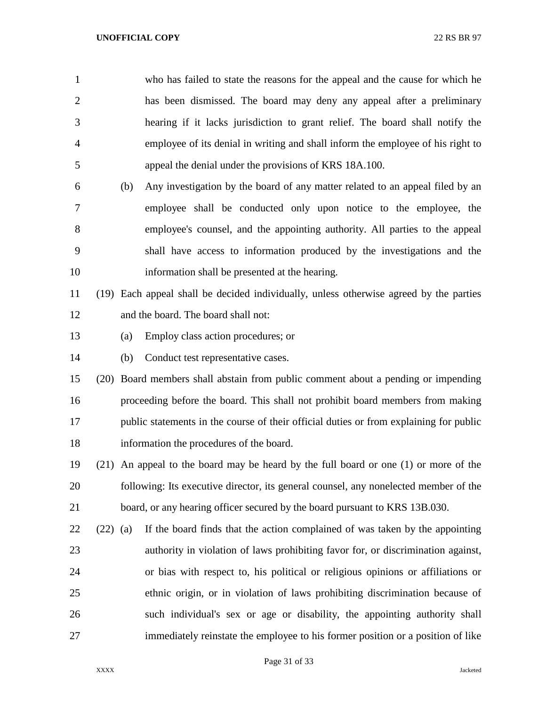| $\mathbf{1}$   |            |     | who has failed to state the reasons for the appeal and the cause for which he          |
|----------------|------------|-----|----------------------------------------------------------------------------------------|
| $\overline{c}$ |            |     | has been dismissed. The board may deny any appeal after a preliminary                  |
| 3              |            |     | hearing if it lacks jurisdiction to grant relief. The board shall notify the           |
| 4              |            |     | employee of its denial in writing and shall inform the employee of his right to        |
| 5              |            |     | appeal the denial under the provisions of KRS 18A.100.                                 |
| 6              |            | (b) | Any investigation by the board of any matter related to an appeal filed by an          |
| 7              |            |     | employee shall be conducted only upon notice to the employee, the                      |
| 8              |            |     | employee's counsel, and the appointing authority. All parties to the appeal            |
| 9              |            |     | shall have access to information produced by the investigations and the                |
| 10             |            |     | information shall be presented at the hearing.                                         |
| 11             |            |     | (19) Each appeal shall be decided individually, unless otherwise agreed by the parties |
| 12             |            |     | and the board. The board shall not:                                                    |
| 13             |            | (a) | Employ class action procedures; or                                                     |
| 14             |            | (b) | Conduct test representative cases.                                                     |
| 15             |            |     | (20) Board members shall abstain from public comment about a pending or impending      |
| 16             |            |     | proceeding before the board. This shall not prohibit board members from making         |
| 17             |            |     | public statements in the course of their official duties or from explaining for public |
| 18             |            |     | information the procedures of the board.                                               |
| 19             |            |     | (21) An appeal to the board may be heard by the full board or one (1) or more of the   |
| 20             |            |     | following: Its executive director, its general counsel, any nonelected member of the   |
| 21             |            |     | board, or any hearing officer secured by the board pursuant to KRS 13B.030.            |
| 22             | $(22)$ (a) |     | If the board finds that the action complained of was taken by the appointing           |
| 23             |            |     | authority in violation of laws prohibiting favor for, or discrimination against,       |
| 24             |            |     | or bias with respect to, his political or religious opinions or affiliations or        |
| 25             |            |     | ethnic origin, or in violation of laws prohibiting discrimination because of           |
| 26             |            |     | such individual's sex or age or disability, the appointing authority shall             |
| 27             |            |     | immediately reinstate the employee to his former position or a position of like        |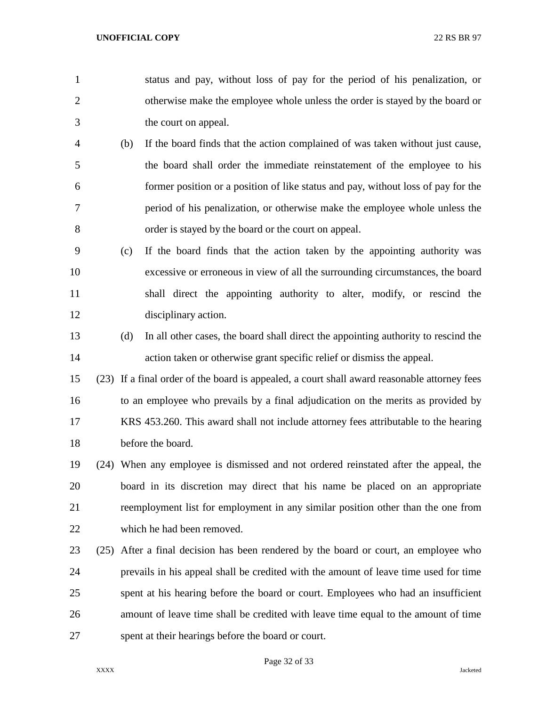- status and pay, without loss of pay for the period of his penalization, or otherwise make the employee whole unless the order is stayed by the board or the court on appeal.
- (b) If the board finds that the action complained of was taken without just cause, the board shall order the immediate reinstatement of the employee to his former position or a position of like status and pay, without loss of pay for the period of his penalization, or otherwise make the employee whole unless the order is stayed by the board or the court on appeal.
- (c) If the board finds that the action taken by the appointing authority was excessive or erroneous in view of all the surrounding circumstances, the board shall direct the appointing authority to alter, modify, or rescind the disciplinary action.
- (d) In all other cases, the board shall direct the appointing authority to rescind the action taken or otherwise grant specific relief or dismiss the appeal.
- (23) If a final order of the board is appealed, a court shall award reasonable attorney fees to an employee who prevails by a final adjudication on the merits as provided by KRS 453.260. This award shall not include attorney fees attributable to the hearing before the board.
- (24) When any employee is dismissed and not ordered reinstated after the appeal, the board in its discretion may direct that his name be placed on an appropriate reemployment list for employment in any similar position other than the one from which he had been removed.
- (25) After a final decision has been rendered by the board or court, an employee who prevails in his appeal shall be credited with the amount of leave time used for time spent at his hearing before the board or court. Employees who had an insufficient amount of leave time shall be credited with leave time equal to the amount of time spent at their hearings before the board or court.